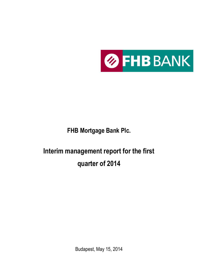

**FHB Mortgage Bank Plc.**

# **Interim management report for the first quarter of 2014**

Budapest, May 15, 2014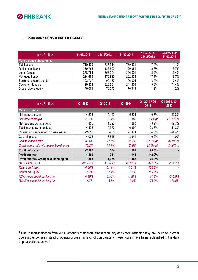

<u>.</u>

# **I. SUMMARY CONSOLIDATED FIGURES**

| in HUF million                  | 31/03/2013 | 31/12/2013 | 31/03/2014 | 31/03/2014/<br>31/12/2013 | 31/03/2014/<br>31/03/2013 |
|---------------------------------|------------|------------|------------|---------------------------|---------------------------|
| <b>Main balance sheet items</b> |            |            |            |                           |                           |
| Total assets                    | 710,429    | 737,514    | 789,321    | $7.0\%$                   | 11.1%                     |
| Refinanced loans                | 159,785    | 133,692    | 129,981    | $-2.8%$                   | $-18.7%$                  |
| Loans (gross)                   | 378,764    | 358,004    | 366,001    | 2.2%                      | $-3.4\%$                  |
| Mortgage bonds                  | 234,685    | 172,830    | 202,438    | 17.1%                     | $-13.7%$                  |
| Senior unsecured bonds          | 103,707    | 99,487     | 96,004     | $-3.5\%$                  | $-7.4\%$                  |
| Customer deposits               | 139,834    | 222,501    | 243,809    | 9.6%                      | 74.4%                     |
| Shareholders' equity            | 76,061     | 76,072     | 76,949     | 1.2%                      | 1.2%                      |

| in HUF million                            | Q1 2013     | Q4 2013  | Q1 2014  | Q1 2014 / Q4<br>2013 | Q1 2014 / Q1<br>2013 |
|-------------------------------------------|-------------|----------|----------|----------------------|----------------------|
| Main P/L items                            |             |          |          |                      |                      |
| Net interest income                       | 4,273       | 5,192    | 5,226    | 0.7%                 | 22.3%                |
| Net interest margin                       | 2.37%       | 2.71%    | 2.78%    | $2.44%-pt$           | 17.21%-pt            |
| Net fees and commissions                  | 855         | 1,323    | 1,280    | $-3.2%$              | 49.7%                |
| Total income (with net fees)              | 4,472       | 5,377    | 6,897    | 28.3%                | 54.2%                |
| Provision for impairment on loan losses   | $-2,652$    | $-955$   | $-1,474$ | 54.3%                | $-44.4%$             |
| Operating cost <sup>1</sup>               | $-4,002$    | $-3,848$ | $-3,841$ | $-0.2%$              | $-4.0%$              |
| Cost to income ratio                      | 89.5%       | 71.6%    | 55.7%    | $-22.2%$ -pt         | $-37.8%$ -pt         |
| Cost/income ratio w/o special banking tax | 77.3%       | 61.8%    | 50.5%    | $-18.2%$ -pt         | $-34.6%$ -pt         |
| <b>Profit before tax</b>                  | $-2,182$    | 574      | 1,581    | 175.5%               |                      |
| <b>Profit after tax</b>                   | $-1,589$    | 211      | 1,145    | 442.9%               |                      |
| Profit after tax w/o special banking tax  | $-883$      | 1,064    | 1,852    | 74.0%                |                      |
| <b>Basic EPS (HUF)</b>                    | $-97.75$ Ft | 11.92 Ft | 68.12 Ft | 471.3%               | $-169.7%$            |
| <b>Return on Assets</b>                   | $-0.88%$    | 0.11%    | 0.61%    | 452.5%               |                      |
| <b>Return on Equity</b>                   | $-8.4%$     | 1.1%     | 6.1%     | 450.0%               |                      |
| ROAA w/o special banking tax              | $-0.49%$    | 0.56%    | 0.98%    | 77.1%                | $-300.9%$            |
| ROAE w/o special banking tax              | $-4.7%$     | 5.6%     | 9.8%     | 76.3%                | $-310.5%$            |

<sup>1</sup> Due to reclassification from 2014, amounts of financial transaction levy and credit institution levy are included in other operating expenses instead of operating costs. In favor of comparability these figures have been reclassified in the data of prior periods, as well.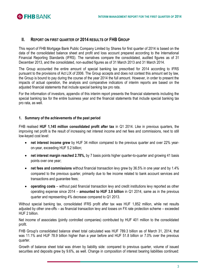

# **II. REPORT ON FIRST QUARTER OF 2014 RESULTS OF FHB GROUP**

This report of FHB Mortgage Bank Public Company Limited by Shares for first quarter of 2014 is based on the data of the consolidated balance sheet and profit and loss account prepared according to the International Financial Reporting Standards (IFRS). The narratives compare the consolidated, audited figures as of 31 December 2013, and the consolidated, non-audited figures as of 31 March 2013 and 31 March 2014.

The Group accounted the entire amount of special banking tax prescribed for 2014 according to IFRS pursuant to the provisions of Act LIX of 2006. The Group accepts and does not contest this amount set by law, the Group is bound to pay during the course of the year 2014 the full amount. However, in order to present the impacts of actual operation, the analysis and comparative indicators of interim reports are based on the adjusted financial statements that include special banking tax pro rata.

For the information of investors, appendix of this interim report presents the financial statements including the special banking tax for the entire business year and the financial statements that include special banking tax pro rata, as well.

# **1. Summary of the achievements of the past period**

FHB realised **HUF 1,145 million consolidated profit after tax** in Q1 2014. Like in previous quarters, the improving net profit is the result of increasing net interest income and net fees and commissions, next to still low-keyed cost level:

- **net interest income grew** by HUF 34 million compared to the previous quarter and over 22% yearon-year, exceeding HUF 5.2 billion;
- **net interest margin reached 2.78%,** by 7 basis points higher quarter-to-quarter and growing 41 basis points over one year;
- **net fees and commissions** without financial transaction levy grew by 36.5% in one year and by 1.4% compared to the previous quarter, primarily due to fee income related to bank account services and transactions and guarantee fees;
- **operating costs**  without paid financial transaction levy and credit institutions levy reported as other operating expense since 2014 – **amounted to HUF 3.8 billion** in Q1 2014, same as in the previous quarter and representing 4% decrease compared to Q1 2013.

Without special banking tax, consolidated IFRS profit after tax was HUF 1,852 million, while net results adjusted by other one-offs – as financial transaction levy and losses on FX rate protection scheme – exceeded HUF 2 billion.

Net income of associates (jointly controlled companies) contributed by HUF 401 million to the consolidated profit.

FHB Group's consolidated balance sheet total calculated was HUF 789.3 billion as of March 31, 2014, that was 11.1% and HUF 78.9 billion higher than a year before and HUF 51.8 billion or 7.0% over the previous quarter.

Growth of balance sheet total was driven by liability side: compared to previous quarter, volume of issued securities and deposits grew by 9.6%, as well. Change in composition of interest bearing liabilities continued: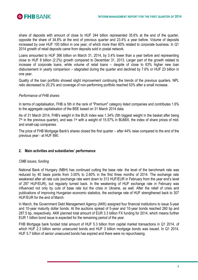

share of deposits with amount of close to HUF 244 billion represented 35.6% at the end of the quarter, opposite the share of 34.8% at the end of previous quarter and 23.4% a year before. Volume of deposits increased by over HUF 100 billion in one year, of which more than 60% related to corporate business. In Q1 2014 growth of retail deposits came from deposits sold in postal network.

Loans amounted to HUF 366 billion on March 31, 2014, by 3.4% lower than a year before and representing close to HUF 8 billion (2.2%) growth compared to December 31, 2013. Larger part of the growth related to increase of corporate loans, while volume of retail loans – despite of close to 63% higher new loan disbursement in yearly comparison – stagnated during the quarter and declined by 7.6% or HUF 23 billion in one year.

Quality of the loan portfolio showed slight improvement continuing the trends of the previous quarters. NPL ratio decreased to 20.2% and coverage of non-performing portfolio reached 53% after a small increase.

# *Performance of FHB shares*

In terms of capitalisation, FHB is 5th in the rank of "Premium" category listed companies and contributes 1.6% to the aggregate capitalisation of the BSE based on 31 March 2014 data.

As of 31 March 2014, FHB's weight in the BUX index was 1.34% (5th biggest weight in the basket after being  $7<sup>th</sup>$  in the previous quarter), and was 1<sup>st</sup> with a weight of 15.57% in BUMIX, the index of share prices of midand small-cap companies.

The price of FHB Mortgage Bank's shares closed the first quarter – after 44% raise compared to the end of the previous year - at HUF 890.

#### **2. Main activities and subsidiaries' performance**

# *CMB issues, funding*

National Bank of Hungary (NBH) has continued cutting the base rate: the level of the benchmark rate was reduced by 40 basis points from 3.00% to 2.60% in the first three months of 2014. The exchange rate weakened after all rate cuts (exchange rate went down to 313 HUF/EUR in February from the year end's level of 297 HUF/EUR), but regularly turned back. In the weakening of HUF exchange rate in February was influenced not only by cuts of base rate but the crisis in Ukraine, as well. After the relief of crisis and publications of improving Hungarian economic statistics, the exchange rate of HUF strengthened back to 307 HUF/EUR for the end of March.

In March, the Government Debt Management Agency (AKK) assigned four financial institutions to issue 5-year and 10-year maturity dollar bonds. At the auctions spread of 5-year and 10-year bonds reached 260 bp and 287.5 bp, respectively. AKK planned total amount of EUR 3.3 billion FX funding for 2014, which means further EUR 1 billion bond issue is expected for the remaining period of the year.

FHB Mortgage bank funded total amount of HUF 5.3 billion from capital market transactions in Q1 2014, of which HUF 2.3 billion senior unsecured bonds and HUF 3 billion mortgage bonds was issued. In Q1 2014, HUF 5.7 billion of senior unsecured bonds has expired and there were no repurchasing.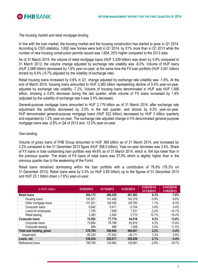

#### *The housing market and retail mortgage lending*

In line with the loan market, the housing market and the housing construction has started to grow in Q1 2014. According to CSO statistics, 1,692 new homes were built in Q1 2014, by 51% more than in Q1 2013 while the number of new housing construction permits issued was 1,654, 20% higher compared to the 2013 data.

As of 31 March 2014, the volume of retail mortgage loans (HUF 5,539 billion) was down by 5.9% compared to 31 March 2013; the volume change adjusted by exchange rate volatility was -8.0%. Volume of HUF loans (HUF 2,088 billion) decreased by 1.6% year-on-year; at the same time the FX loan portfolio (HUF 3,451 billion) shrank by 8.4% (-9.7% adjusted by the volatility of exchange rate).

Retail housing loans increased by 0.6% in Q1, change adjusted by exchange rate volatility was -1.6%. At the end of March 2014, housing loans amounted to HUF 3,360 billion representing decline of 5.4% year-on-year, adjusted by exchange rate volatility -7.2%. Volume of housing loans denominated in HUF was HUF 1,566 billion, showing a 0.8% decrease during the last quarter, while volume of FX loans increased by 1.8% (adjusted by the volatility of exchange rate it was 2.4% decrease).

General-purpose mortgage loans amounted to HUF 2,179 billion as of 31 March 2014; after exchange rate adjustment the portfolio decreased by 2.0% in the last quarter, and shrank by 9.2% year-on-year. HUF denominated general-purpose mortgage loans (HUF 522 billion) decreased by HUF 3 billion quarterly and expanded by 1.2% year-on-year. The exchange rate adjusted change in FX denominated general-purpose mortgage loans was -2.8% in Q4 of 2013 and -12.0% year-on-year.

# *Own lending*

Volume of gross loans of FHB Group amounted to HUF 366 billion as of 31 March 2014, and increased by 2.2% compared to the 31 December 2013 figure (HUF 358.0 billion). Year-on-year decrease was 3.4%. Share of FX loans in total outstanding loan portfolio was 49.6% as of 31 March 2014, which is 164 bps lower than in the previous quarter. The share of FX loans of retail loans was 57.9% which is slightly higher than in the previous quarter due to the weakening of the Forint.

Retail loans remained dominating within the loan portfolio with a contribution of 76.8% (78.3% on 31 December 2013). Retail loans were by 0.3% (or HUF 0.85 billion) up to the figures of 31 December 2013 and HUF 23.1 billion down (-7.6%) year-on-year.

| in HUF million           | 31/03/2013 | 31/12/2013 | 31/03/2014 | 31/03/2014/<br>31/12/2013 | 31/03/2014/<br>31/03/2013 |
|--------------------------|------------|------------|------------|---------------------------|---------------------------|
| <b>Retail loans</b>      | 304,172    | 280,228    | 281,083    | 0.3%                      | $-7.6%$                   |
| Housing loans            | 150,551    | 141,480    | 140,378    | $-0.8\%$                  | $-6.8%$                   |
| Other mortgage loans     | 141,521    | 128,305    | 129,760    | 1.1%                      | $-8.3\%$                  |
| Consumer loans           | 6,942      | 6,471      | 6,704      | 3.6%                      | $-3.4\%$                  |
| Loans for employees      | 1,795      | 1,568      | 1,531      | $-2.4%$                   | $-14.7\%$                 |
| Retail leasing           | 3,363      | 2,404      | 2,710      | 12.7%                     | $-19.4%$                  |
| Corporate Ioans          | 74,592     | 77,776     | 84,918     | 9.2%                      | 13.8%                     |
| Corporate loans          | 73,684     | 76,788     | 83,910     | 9.3%                      | 13.9%                     |
| Corporate leasing        | 908        | 988        | 1,008      | 2.0%                      | 11.0%                     |
| Total own lending, gross | 378,764    | 358,004    | 366,001    | 2.2%                      | $-3.4%$                   |
| Impairment               | $-40,330$  | $-37,933$  | -39.171    | 3.3%                      | $-2.9%$                   |
| Loans, net               | 338,434    | 320,071    | 326,830    | 2.1%                      | $-3.4%$                   |
| Refinanced loans         | 159,785    | 133,692    | 129,981    | $-2.8%$                   | $-18.7%$                  |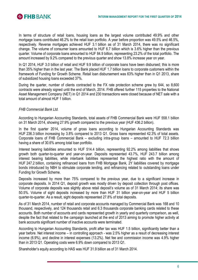

In terms of structure of retail loans, housing loans as the largest volume contributed 49.9% and other mortgage loans contributed 46.2% to the retail loan portfolio. A year before proportion was 49.5% and 46.5%, respectively. Reverse mortgages achieved HUF 3.1 billion as of 31 March 2014, there was no significant change. The volume of consumer loans amounted to HUF 6.7 billion which is 3.6% higher than the previous quarter. Volume of corporate loans amounted to HUF 84.9 billion, representing 23.2% of the total portfolio. The amount increased by 9.2% compared to the previous quarter and show 13.8% increase year on year.

In Q1 2014, HUF 3.0 billion of retail and HUF 9.9 billion of corporate loans have been disbursed; this is more than 35% higher than in the last year. The Bank placed HUF 1.7 billion loans to corporate customers within the framework of Funding for Growth Scheme. Retail loan disbursement was 63% higher than in Q1 2013, share of subsidized housing loans exceeded 37%.

During the quarter, number of clients contracted to the FX rate protection scheme grew by 644, so 8,600 contracts were already signed until the end of March, 2014. FHB offered further 115 properties to the National Asset Management Company (NET) in Q1 2014 and 230 transactions were closed because of NET sale with a total amount of almost HUF 1 billion.

# *FHB Commercial Bank Ltd.*

According to Hungarian Accounting Standards, total assets of FHB Commercial Bank were HUF 558.1 billion on 31 March 2014, showing 27.9% growth compared to the previous year (HUF 436.2 billion).

In the first quarter 2014, volume of gross loans according to Hungarian Accounting Standards was HUF 236.3 billion increasing by 3.8% compared to 2013 Q1. Gross loans represented 42.3% of total assets. Corporate loans of FHB Commercial Bank – excluding intra-group loans – amounted to HUF 72.3 billion having a share of 30.6% among total loan portfolio.

Interest bearing liabilities amounted to HUF 514.4 billion, representing 92.2% among liabilities that shows growth both quarter-to-quarter and year-on-year. Deposits represented 43.7%, HUF 243.7 billion among interest bearing liabilities, while interbank liabilities represented the highest ratio with the amount of HUF 247.2 billion, containing refinanced loans from FHB Mortgage Bank, 2Y liabilities covered by mortgage bonds introduced by NBH to stimulate corporate lending, and refinancing related to outstanding loans under Funding for Growth Scheme.

Deposits increased by more than 75% compared to the previous year, due to a significant increase in corporate deposits. In 2014 Q1, deposit growth was mostly driven by deposit collection through post offices. Volume of corporate deposits was slightly above retail deposit's volume as of 31 March 2014; its share was 50.5%. Volume of sight deposits increased by more than HUF 31 billion year-on-year and HUF 5 billion quarter-to-quarter. As a result, sight deposits represented 27.8% of total deposits.

As of 31 March 2014, number of retail and corporate accounts managed by Commercial Bank was 168 and 10 thousand, respectively, and 124 thousands retail and 6.3 thousands corporate banking cards related to these accounts. Both number of accounts and cards represented growth in yearly and quarterly comparison, as well, despite the fact that related to the campaign launched at the end of 2013 aiming to promote higher activity at bank accounts significant number of inactive accounts were terminated.

According to Hungarian Accounting Standards, profit after tax was HUF 1.5 billion, significantly better than a year before. Net interest income – in controlling approach - was 2.5% higher as a result of decreasing interest income (6.9%), and decline in interest expenses (13.2%). Net fee and commission income was 4.9% higher than in 2013 Q1. Operating costs were 6.9% down compared to 2013 Q1.

Shareholder's equity according to HAS was HUF 31.9 billion as of 31 March 2014.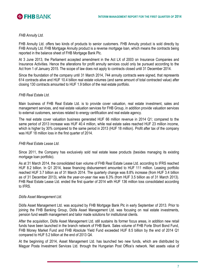

# *FHB Annuity Ltd.*

FHB Annuity Ltd. offers two kinds of products to senior customers. FHB Annuity product is sold directly by FHB Annuity Ltd. FHB Mortgage Annuity product is a reverse mortgage loan, which means the contracts being reported in the balance sheet of FHB Mortgage Bank Plc.

At 3 June 2013, the Parliament accepted amendment in the Act LX of 2003 on Insurance Companies and Insurance Activities. Hence the alterations for profit annuity services could only be pursued according to the Act from 1 of January 2015. The scope of law does not apply to contracts closed until 31 December 2014.

Since the foundation of the company until 31 March 2014, 744 annuity contracts were signed, that represents 614 contracts alive and HUF 10.4 billion real estate volumes (and same amount of total contracted value) after closing 130 contracts amounted to HUF 1.9 billion of the real estate portfolio.

# *FHB Real Estate Ltd.*

Main business of FHB Real Estate Ltd. is to provide cover valuation, real estate investment, sales and management services, and real estate valuation services for FHB Group, in addition provide valuation services to external customers, services related to energy certification and real estate agency.

The real estate cover valuation business generated HUF 66 million revenue in 2014 Q1; compared to the same period of 2013 increase was HUF 40.4 million, while real estate sales reached HUF 23 million income, which is higher by 30% compared to the same period in 2013 (HUF 18 million). Profit after tax of the company was HUF 18 million loss in the first quarter of 2014.

#### *FHB Real Estate Lease Ltd.*

Since 2011, the Company has exclusively sold real estate lease products (besides managing its existing mortgage loan portfolio).

As at 31 March 2014, the consolidated loan volume of FHB Real Estate Lease Ltd. according to IFRS reached HUF 8.2 billion. In Q1 2014, lease financing disbursement amounted to HUF 111 million. Leasing portfolio reached HUF 3.7 billion as of 31 March 2014. The quarterly change was 8.8% increase (from HUF 3.4 billion as of 31 December 2013), while the year-on-year rise was 6.3% (from HUF 3.5 billion as of 31 March 2013). FHB Real Estate Lease Ltd. ended the first quarter of 2014 with HUF 136 million loss consolidated according to IFRS.

#### *Diófa Asset Management Ltd.*

Diófa Asset Management Ltd. was acquired by FHB Mortgage Bank Plc in early September of 2013. Prior to joining the FHB Banking Group, Diófa Asset Management Ltd. was focusing on real estate investments, pension fund wealth management and tailor made solutions for institutional clients.

After the acquisition, Diófa Asset Management Ltd. still sustains its former focus areas, in addition new retail funds have been launched in the branch network of FHB Bank. Sales volume of FHB Forte Short Bond Fund, FHB Money Market Fund and FHB Absolute Yield Fund exceeded HUF 8.5 billion by the end of 2014 Q1 compared to HUF 5.2 billion at the end of 2013 Q4.

At the beginning of 2014, Asset Management Ltd. has launched two new funds, which are distributed by Magyar Posta Investment Services Ltd. through the Hungarian Post Office's network. Net assets value of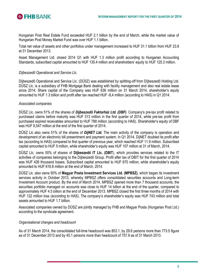

Hungarian Post Real Estate Fund exceeded HUF 2.1 billion by the end of March, while the market value of Hungarian Post Money Market Fund was over HUF 1.1 billion.

Total net value of assets and other portfolios under management increased to HUF 31.1 billion from HUF 23.8 at 31 December 2013.

Asset Management Ltd. closed 2014 Q1 with HUF 1.3 million profit according to Hungarian Accounting Standards, subscribed capital amounted to HUF 135.4 million and shareholders' equity to HUF 125.3 million.

# *Díjbeszedő Operational and Service Llc.*

Díjbeszedő Operational and Service Llc. (DÜSZ) was established by splitting-off from Díjbeszedő Holding Ltd. DÜSZ Llc. is a subsidiary of FHB Mortgage Bank dealing with facility management and also real estate lease since 2014. Share capital of the Company was HUF 636 million on 31 March 2014, shareholder's equity amounted to HUF 1.3 billion and profit after tax reached HUF -8,4 million (according to HAS) in Q1 2014.

# *Associated companies*

DÜSZ Llc. owns 51% of the shares of *Díjbeszedő Faktorház Ltd. (DBF)*. Company's pre-tax profit related to purchased claims before maturity was HUF 313 million in the first quarter of 2014, while pre-tax profit from purchased expired receivables amounted to HUF 788 million (according to HAS). Shareholder's equity of DBF was HUF 8,547 million at the end of the first quarter of 2014.

DÜSZ Llc also owns 51% of the shares of *DíjNET Ltd.* The main activity of the company is operation and development of an electronic bill presentment and payment system. In Q1 2014, DíjNET doubled its profit after tax (according to HAS) compared to first quarter of previous year, which reached HUF 11.9 million. Subscribed capital amounted to HUF 5 million, while shareholder's equity was HUF 107 million at 31 of March, 2014.

DÜSZ Llc. owns 50% of shares of **Díjbeszedő IT Llc. (DBIT**), which provides services related to the IT activities of companies belonging to the Díjbeszedő Group. Profit after tax of DBIT for the first quarter of 2014 was HUF 426 thousand losses. Subscribed capital amounted to HUF 670 million, while shareholder's equity amounted to HUF 616.8 million at the end of March, 2014.

DÜSZ Llc. also owns 50% of **Magyar Posta Investment Services Ltd. (MPBSZ)**, which began its investment services activity in October 2013, whereby MPBSZ offers consolidated securities accounts and Long-term Investment Account product. By the end of March 2014, MPBSZ opened more than 7 thousand accounts; the securities portfolio managed on accounts was close to HUF 14 billion at the end of the quarter, compared to approximately HUF 4.5 billion at the end of December 2013. MPBSZ closed the first three months of 2014 with HUF 122 million loss (according to HAS). The company's shareholder's equity was HUF 743 million and total assets amounted to HUF 1.7 billion.

Associated companies owned by DÜSZ are jointly managed by FHB and Magyar Posta (Hungarian Post Ltd.) according to the syndicate agreement.

# *Organisational changes and headcount*

As of 31 March 2014, the consolidated full-time headcount was 803.1, by 29.6 persons more than 773.5 figure as of 31 December 2013 and by 45.1 persons more than headcount of 757.9 as of 31 March 2013.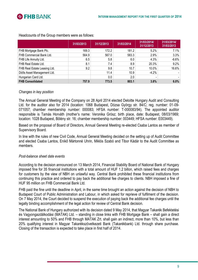

|                              | 31/03/2013 | 31/12/2013 | 31/03/2014 | 31/03/2014/<br>31/12/2013 | 31/03/2014/<br>31/03/2013 |
|------------------------------|------------|------------|------------|---------------------------|---------------------------|
| FHB Mortgage Bank Plc.       | 169.3      | 172.2      | 181.2      | 5.2%                      | 7.1%                      |
| FHB Commercial Bank Ltd.     | 564.9      | 567.0      | 583.3      | 2.9%                      | 3.3%                      |
| FHB Life Annuity Ltd.        | 6.5        | 5.8        | 6.0        | 4.3%                      | $-6.6%$                   |
| FHB Real Estate Ltd.         | 8.1        | 7.4        | 8.9        | 20.3%                     | 9.2%                      |
| FHB Real Estate Leasing Ltd. | 9.2        | 9.8        | 10.7       | 10.0%                     | 16.6%                     |
| Diófa Asset Management Ltd.  |            | 11.4       | 10.9       | $-4.2%$                   |                           |
| Hungarian Card Ltd.          |            | 0.0        | 2.0        |                           |                           |
| <b>FHB Consolidated</b>      | 757.9      | 773.5      | 803.1      | 3.8%                      | $6.0\%$                   |

Headcounts of the Group members were as follows:

# *Changes in key position*

The Annual General Meeting of the Company on 28 April 2014 elected Deloitte Hungary Audit and Consulting Ltd. for the auditor also for 2014 (location: 1068 Budapest, Dózsa György str. 84/C; reg. number: 01-09- 071057; chamber membership number: 000083; HFSA number: T-000083/94). The appointed auditor responsible is Tamás Horváth (mother's name: Veronika Grósz; birth place, date: Budapest, 08/03/1969; location: 1028 Budapest, Bölény str. 16; chamber membership number: 003449; HFSA number: E003449).

Based on the proposal of Board of Directors, Annual General Meeting re-elected Csaba Lantos as member of Supervisory Board.

In line with the rules of new Civil Code, Annual General Meeting decided on the setting up of Audit Committee and elected Csaba Lantos, Enikő Mártonné Uhrin, Miklós Szabó and Tibor Kádár to the Audit Committee as members.

#### *Post-balance sheet date events*

According to the decision announced on 13 March 2014, Financial Stability Board of National Bank of Hungary imposed fine for 35 financial institutions with a total amount of HUF 1.2 billon, which raised fees and charges for customers by the view of NBH on unlawful way. Central Bank prohibited these financial institutions from continuing this practice and ordered to pay back the additional fee charges to clients. NBH imposed a fine of HUF 95 million on FHB Commercial Bank Ltd.

FHB paid the fine until the deadline in April, in the same time brought an action against the decision of NBH to Budapest Court of Public Administration and Labour, in which asked for reprieve of fulfilment of the decision. On 7 May 2014, the Court decided to suspend the execution of paying back the additional fee charges until the legally binding accomplishment of the legal action for review of Central Bank decision.

The National Bank of Hungary authorized with its decision dated 9 May 2014, that Magyar Takarék Befektetési és Vagyongazdálkodási (MATAK) Ltd. – standing in close links with FHB Mortgage Bank – shall gain a direct interest amounting to 50% and FHB through MATAK Zrt. shall gain an indirect, more than 10%, but less than 20% qualifying interest in Magyar Takarékszövetkezeti Bank (Takarékbank) Ltd. through share purchase. Closing of the transaction is expected to take place in first half of 2014.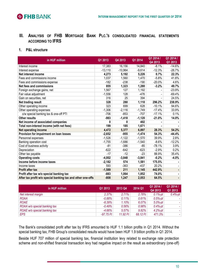

**III. ANALYSIS OF FHB MORTGAGE BANK PLC.'S CONSOLIDATED FINANCIAL STATEMENTS ACCORDING TO IFRS**

# **1. P&L structure**

| in HUF million                                              | Q1 2013   | Q4 2013   | Q1 2014  | Q1 2014 /<br>Q4 2013         | Q1 2014 /<br>Q1 2013 |
|-------------------------------------------------------------|-----------|-----------|----------|------------------------------|----------------------|
| Interest income                                             | 17,383    | 16,156    | 14,840   | $-8.1%$                      | $-14.6%$             |
| Interest expense                                            | $-13,110$ | $-10,964$ | $-9,614$ | $-12.3%$                     | $-26.7%$             |
| Net interest income                                         | 4,273     | 5,192     | 5,226    | 0.7%                         | 22.3%                |
| Fees and commissions income                                 | 1,037     | 1,560     | 1,470    | $-5.8%$                      | 41.8%                |
| Fees and commissions expense                                | $-182$    | $-238$    | $-190$   | $-20.0%$                     | 4.6%                 |
| Net fees and commissions                                    | 855       | 1,323     | 1,280    | $-3.2%$                      | 49.7%                |
| Foreign exchange gains, net                                 | 1,567     | 127       | 1,192    | $\qquad \qquad \blacksquare$ | $-23.9%$             |
| Fair value adjustment                                       | $-1,556$  | 128       | -476     | $\blacksquare$               | $-69.4%$             |
| Gain on securities, net                                     | 316       | 25        | 394      |                              | 24.5%                |
| Net trading result                                          | 328       | 280       | 1,110    | 296.2%                       | 238.9%               |
| Other operating income                                      | 323       | 699       | 628      | $-10.1%$                     | 94.6%                |
| Other operating expenses                                    | $-1,306$  | $-2,116$  | $-1,749$ | $-17.4%$                     | 33.9%                |
| o/w special banking tax & one-off PTI                       | $-706$    | $-853$    | $-707$   | $-17.1%$                     | 0.1%                 |
| <b>Other results</b>                                        | $-983$    | $-1,418$  | $-1,120$ | $-21.0%$                     | 14.0%                |
| Net income of associated companies                          | 0         | 0         | 402      |                              |                      |
| Total non-interest income (with net fees)                   | 199       | 185       | 1,671    |                              |                      |
| Net operating income                                        | 4,472     | 5,377     | 6,897    | 28.3%                        | 54.2%                |
| Provision for impairment on loan losses                     | $-2,652$  | $-955$    | $-1,474$ | 54.3%                        | $-44.4%$             |
| Personnel expenses                                          | $-1,526$  | $-1,122$  | $-1,570$ | 39.9%                        | 2.8%                 |
| Banking operation cost                                      | $-1,755$  | $-1,686$  | $-1,540$ | $-8.6%$                      | $-12.2%$             |
| Cost of business activity                                   | $-81$     | $-386$    | -85      | $-78.1%$                     | 3.9%                 |
| Depreciation                                                | $-622$    | $-642$    | $-623$   | $-2.9%$                      | 0.2%                 |
| Other tax payable                                           | $-17$     | $-12$     | $-23$    | 88.9%                        | 35.4%                |
| <b>Operating costs</b>                                      | $-4,002$  | $-3,848$  | $-3,841$ | $-0.2%$                      | $-4.0%$              |
| Income before income taxes                                  | $-2,182$  | 574       | 1,581    | 175.5%                       |                      |
| Income taxes                                                | 593       | $-363$    | $-437$   | 20.2%                        |                      |
| <b>Profit after tax</b>                                     | $-1,589$  | 211       | 1,145    | 442.9%                       |                      |
| Profit after tax w/o special banking tax                    | -883      | 1,064     | 1,852    | 74.0%                        |                      |
| After tax profit w/o special banking tax and other one-offs | $-808$    | 1,247     | 2,053    | 64.5%                        |                      |

| in HUF million               | Q1 2013     | 2013 Q4  | 2014 Q1  | Q1 2014 /<br>Q4 2013 | Q1 2014 /<br>Q1 2013 |
|------------------------------|-------------|----------|----------|----------------------|----------------------|
| Net interest margin          | 2.37%       | 2.71%    | 2.78%    | $0.1%$ -pt           | $0.4%$ -pt           |
| <b>ROAA</b>                  | $-0.88%$    | 0.11%    | 0.61%    | $0.5%$ -pt           |                      |
| <b>ROAE</b>                  | $-8.39%$    | 1.10%    | 6.07%    | $5.0%$ -pt           |                      |
| ROAA w/o special banking tax | $-0.49%$    | 0.56%    | 0.98%    | $0.4%-pt$            |                      |
| ROAE w/o special banking tax | $-4.66%$    | 5.57%    | 9.82%    | $4.2%-pt$            |                      |
| <b>EPS</b>                   | $-97.75$ Ft | 11.92 Ft | 68.12 Ft | 471.3%               |                      |

The Bank's consolidated profit after tax by IFRS amounted to HUF 1.1 billion profits in Q1 2014. Without the special banking tax, FHB Group's consolidated results would have been HUF 1.9 billion profits in Q1 2014.

Beside HUF 707 million of special banking tax, financial institution levy related to exchange rate protection scheme and non-shifted financial transaction levy had negative impact on the result as extraordinary (one-off)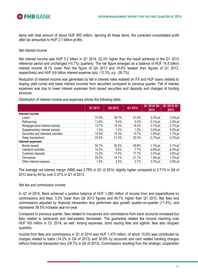

items with total amount of about HUF 900 million. Ignoring all these items, the corrected consolidated profit after tax amounted to HUF 2.1 billion profits.

#### *Net interest income*

Net interest income was HUF 5.2 billion in Q1 2014, 22.3% higher than the result achieved in the Q1 2013 reference period and unchanged (+0.7%) quarterly. The net figure emerged as a balance of HUF 14.8 billion interest income (8.1% lower than the figure of Q4 2013 and 14.6% weaker than figures of Q1 2013, respectively) and HUF 9.6 billion interest expense (q/q: -12.3%, y/y: -26.7%).

Reduction of interest income was generated by fall in interest rates realised on FX and HUF loans (related to sloping yield curve) and lower interest incomes from securities compared to previous quarter. Fall of interest expenses was due to lower interest expenses from issued securities and deposits and changes of funding structure.

|                                     | Q1 2013 | Q4 2013 | Q1 2014 | Q1 2014/ Q4<br>2013 | Q1 2014/ Q1<br>2013 |
|-------------------------------------|---------|---------|---------|---------------------|---------------------|
| Interest income                     |         |         |         |                     |                     |
| Loans                               | 37.6%   | 38.7%   | 41.0%   | 2.2%-pt             | $3.4%-pt$           |
| Refinancing                         | 11.8%   | 9.4%    | 9.3%    | $-0.1%$ -pt         | -2.5%-pt            |
| Mortgage bond interest subsidy      | 13.7%   | 14.3%   | 14.4%   | $0.1%$ -pt          | $0.7%$ -pt          |
| Supplementary interest subsidy      | 1.3%    | 1.3%    | 1.3%    | $0.0%$ -pt          | $0.0%$ -pt          |
| Securities and interbank activities | 12.0%   | 15.3%   | 13.7%   | $-1.6%$ -pt         | 1.7%-pt             |
| Swap transactions                   | 23.5%   | 21.0%   | 20.3%   | $-0.7%$ -pt         | $-3.2%$ -pt         |
| Interest expenses                   |         |         |         |                     |                     |
| Bonds issued                        | 50.7%   | 52.5%   | 50.8%   | $-1.7%$ -pt         | $0.1%$ -pt          |
| Interbank activities                | 14.2%   | 8.5%    | 7.7%    | $-0.8%$ -pt         | $-6.4%$ -pt         |
| Customer deposits                   | 13.2%   | 17.4%   | 17.7%   | $0.3%$ -pt          | 4.6%-pt             |
| Derivatives                         | 20.0%   | 19.1%   | 21.1%   | 1.9%-pt             | $1.0%$ -pt          |
| Other interest expense              | 1.9%    | 2.4%    | 2.7%    | $0.3%$ -pt          | $0.8%$ -pt          |

Distribution of interest income and expenses shows the following table:

The average net interest margin (NIM) was 2.78% in Q1 of 2014, slightly higher compared to 2.71% in Q4 of 2013 and by 40 bp over 2.37% in Q1 of 2013.

#### *Net fee and commission income*

In Q1 of 2014, Bank achieved a positive balance of HUF 1,280 million of income from and expenditures on commissions and fees; 3.2% lower than Q4 2013 figures and 49.7% higher than Q1 2013. Net fees and commissions adjusted by financial transaction levy performed also growth quarter-on-quarter (+1.4%), and represents 36.5% increase year-on-year.

Compared to previous quarter, fees related to insurances and commissions from bank accounts increased but fees related to bankcards and real-estates decreased. The guarantee related fee income reaching over HUF 100 million in Q1 2014, as well. Among expenses, bond issuing fees and agents' fees also dropped quarterly.

Income from fees and commissions in Q1 of 2014 was HUF 1.470 million, of which 15.6% was contributed by charges related to loans (14.2% in Q4 of 2013) and 30.8% by accounts and card related banking charges without financial transaction levy (29.7% in Q4 of 2013). Commissions resulting from the strategic cooperation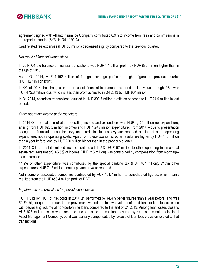



agreement signed with Allianz Insurance Company contributed 6.9% to income from fees and commissions in the reported quarter (6.0% in Q4 of 2013).

Card related fee expenses (HUF 86 million) decreased slightly compared to the previous quarter.

# *Net result of financial transactions*

In 2014 Q1 the balance of financial transactions was HUF 1.1 billion profit, by HUF 830 million higher than in the Q4 of 2013.

As of Q1 2014, HUF 1,192 million of foreign exchange profits are higher figures of previous quarter (HUF 127 million profit).

In Q1 of 2014 the changes in the value of financial instruments reported at fair value through P&L was HUF 475.8 million loss, which is less than profit achieved in Q4 2013 by HUF 604 million.

In Q1 2014, securities transactions resulted in HUF 393.7 million profits as opposed to HUF 24.9 million in last period.

# *Other operating income and expenditure*

In 2014 Q1, the balance of other operating income and expenditure was HUF 1,120 million net expenditure; arising from HUF 628.2 million incomes and HUF 1.749 million expenditure. From 2014 – due to presentation changes – financial transaction levy and credit institutions levy are reported on line of other operating expenditure, not as operating costs. Apart from these two items, other results are higher by HUF 146 million than a year before, and by HUF 250 million higher than in the previous quarter.

In 2014 Q1 real estate related income contributed 11.9%, HUF 57 million to other operating income (real estate rent, revaluation). 65.5% of income (HUF 315 million) was contributed by compensation from mortgageloan insurance.

44.2% of other expenditure was contributed by the special banking tax (HUF 707 million). Within other expenditures, HUF 71.5 million annuity payments were reported.

Net income of associated companies contributed by HUF 401.7 million to consolidated figures, which mainly resulted from the HUF 458.4 million profit of DBF.

#### *Impairments and provisions for possible loan losses*

HUF 1.5 billion HUF of risk costs in 2014 Q1 performed by 44.4% better figures than a year before, and was 54.3% higher quarter-on-quarter. Improvement was related to lower volume of provisions for loan losses in line with decreasing volume of non-performing loans compared to the end of Q1 2013. Among loan losses close to HUF 623 million losses were reported due to closed transactions covered by real-estates sold to National Asset Management Company, but it was partially compensated by release of loan loss provision related to that transactions.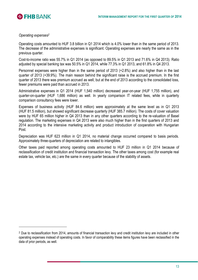

# *Operating expenses 2*

<u>.</u>

Operating costs amounted to HUF 3.8 billion in Q1 2014 which is 4.0% lower than in the same period of 2013. The decrease of the administrative expenses is significant. Operating expenses are nearly the same as in the previous quarter.

Cost-to-income ratio was 55.7% in Q1 2014 (as opposed to 89.5% in Q1 2013 and 71.6% in Q4 2013). Ratio adjusted by special banking tax was 50.5% in Q1 2014, while 77.3% in Q1 2013, and 61.8% in Q4 2013.

Personnel expenses were higher than in the same period of 2013 (+2.8%) and also higher than in the last quarter of 2013 (+39.9%). The main reason behind the significant raise is the accrued premium. In the first quarter of 2013 there was premium accrued as well, but at the end of 2013 according to the consolidated loss, fewer premiums were paid than accrued in 2013.

Administrative expenses in Q1 2014 (HUF 1,540 million) decreased year-on-year (HUF 1,755 million), and quarter-on-quarter (HUF 1,686 million) as well. In yearly comparison IT related fees, while in quarterly comparison consultancy fees were lower.

Expenses of business activity (HUF 84.6 million) were approximately at the same level as in Q1 2013 (HUF 81.5 million), but showed significant decrease quarterly (HUF 385.7 million). The costs of cover valuation were by HUF 65 million higher in Q4 2013 than in any other quarters according to the re-valuation of Basel regulation. The marketing expenses in Q4 2013 were also much higher than in the first quarters of 2013 and 2014 according to the intensive marketing activity and product introduction of cooperation with Hungarian Post.

Depreciation was HUF 623 million in Q1 2014, no material change occurred compared to basis periods. Approximately three-quarters of depreciation are related to intangibles.

Other taxes paid reported among operating costs amounted to HUF 23 million in Q1 2014 because of reclassification of credit institution and financial transaction levy. The other taxes among cost (for example real estate tax, vehicle tax, etc.) are the same in every quarter because of the stability of assets.

<sup>&</sup>lt;sup>2</sup> Due to reclassification from 2014, amounts of financial transaction levy and credit institution levy are included in other operating expenses instead of operating costs. In favor of comparability these items figures have been reclassified in the data of prior periods, as well.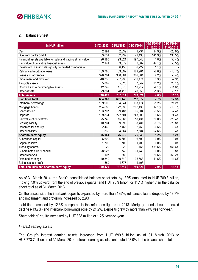

# **2. Balance Sheet**

| in HUF million                                                | 31/03/2013 | 31/12/2013 | 31/03/2014 | 31/03/2014/ | 31/03/2014/ |
|---------------------------------------------------------------|------------|------------|------------|-------------|-------------|
|                                                               |            |            |            | 31/12/2013  | 31/03/2013  |
| Cash                                                          | 2,191      | 2,039      | 1,734      | $-14.9%$    | $-20.9%$    |
| Due from banks & NBH                                          | 33,631     | 32,739     | 79,190     | 141.9%      | 135.5%      |
| Financial assets available for sale and trading at fair value | 126,180    | 193,824    | 197,346    | 1.8%        | 56.4%       |
| Fair value of derivative financial assets                     | 2,141      | 3,579      | 2,002      | $-44.1%$    | $-6.5%$     |
| Investment in associates (jointly controlled companies)       | 0          | 6,158      | 6,227      | 1.1%        |             |
| Refinanced mortgage loans                                     | 159,785    | 133,692    | 129,981    | $-2.8%$     | $-18.7%$    |
| Loans and advances                                            | 378,764    | 358,004    | 366,001    | 2.2%        | $-3.4%$     |
| Impairment and provision                                      | $-40,330$  | $-37,933$  | $-39,171$  | 3.3%        | $-2.9%$     |
| Tangible assets                                               | 5,862      | 5,625      | 7,042      | 25.2%       | 20.1%       |
| Goodwill and other intangible assets                          | 12,342     | 11,373     | 10,912     | $-4.1%$     | $-11.6%$    |
| Other assets                                                  | 29,864     | 28,415     | 28,056     | $-1.3%$     | $-6.1%$     |
| <b>Total Assets</b>                                           | 710,429    | 737,514    | 789,321    | 7.0%        | 11.1%       |
| <b>Liabilities total</b>                                      | 634,368    | 661,443    | 712,372    | 7.7%        | 12.3%       |
| Interbank borrowings                                          | 109,900    | 134,841    | 133,174    | $-1.2%$     | 21.2%       |
| Mortgage bonds                                                | 234,685    | 172,830    | 202,438    | 17.1%       | $-13.7%$    |
| Bonds issued                                                  | 103,707    | 99,487     | 96,004     | $-3.5%$     | $-7.4%$     |
| Deposits                                                      | 139,834    | 222,501    | 243,809    | 9.6%        | 74.4%       |
| Fair value of derivatives                                     | 25,746     | 15,365     | 18,431     | 20.0%       | $-28.4%$    |
| Leasing liability                                             | 10,704     | 9,292      | 8,481      | $-8.7%$     | $-20.8%$    |
| Reserves for annuity                                          | 2,460      | 2,463      | 2,450      | $-0.5%$     | $-0.4%$     |
| Other liabilities                                             | 7,332      | 4,664      | 7,584      | 62.6%       | 3.4%        |
| Shareholders' equity                                          | 76,061     | 76,072     | 76,949     | 1.2%        | 1.2%        |
| Subscribed capital                                            | 6,600      | 6,600      | 6,600      | 0.0%        | 0.0%        |
| Capital reserve                                               | 1,709      | 1,709      | 1,709      | 0.0%        | 0.0%        |
| Treasury shares                                               | $-29$      | -29        | $-158$     | 451.6%      | 451.6%      |
| Subordinated Tier1 capital                                    | 28,923     | 31,749     | 31,749     | 0.0%        | 9.8%        |
| Other reserves                                                | 107        | 380        | 279        | $-26.6%$    | 160.2%      |
| Retained earnings                                             | 40,340     | 40,340     | 35,663     | $-11.6%$    | $-11.6%$    |
| Balance sheet profit                                          | $-1,589$   | $-4,677$   | 1,108      |             |             |
| Total liabilities and shareholders' equity                    | 710,429    | 737,514    | 789,321    | 7.0%        | 11.1%       |

As of 31 March 2014, the Bank's consolidated balance sheet total by IFRS amounted to HUF 789.3 billion, moving 7.0% upward from the end of previous quarter and HUF 78.9 billion, or 11.1% higher than the balance sheet total as of 31 March 2013.

On the assets side the interbank deposits expanded by more than 135%, refinanced loans dropped by 18.7% and impairment and provision increased by 2.9%.

Liabilities increased by 12.3% compared to the reference figures of 2013. Mortgage bonds issued showed decline (-13.7%) and interbank borrowings rose by 21.2%. Deposits grew by more than 74% year-on-year.

Shareholders' equity increased by HUF 888 million or 1.2% year-on-year.

#### *Interest earning assets*

The Group's interest earning assets increased from HUF 699.5 billion as of 31 March 2013 to HUF 773.7 billion as of 31 March 2014. Interest earning assets contributed 98.0% to the balance sheet total.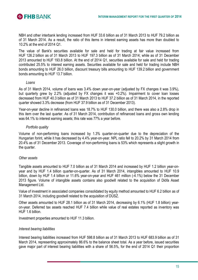

NBH and other interbank lending increased from HUF 33.6 billion as of 31 March 2013 to HUF 79.2 billion as of 31 March 2014. As a result, the ratio of this items in interest earning assets has more than doubled to 10.2% at the end of 2014 Q1.

The value of Bank's securities available for sale and held for trading at fair value increased from HUF 126.2 billion as of 31 March 2013 to HUF 197.3 billion as of 31 March 2014; while as of 31 December 2013 amounted to HUF 193.8 billion. At the end of 2014 Q1, securities available for sale and held for trading contributed 25.5% to interest earning assets. Securities available for sale and held for trading include NBH bonds amounting to HUF 26.0 billion, discount treasury bills amounting to HUF 139.2 billion and government bonds amounting to HUF 13.7 billion.

#### *Loans*

As of 31 March 2014, volume of loans was 3.4% down year-on-year (adjusted by FX changes it was 3.9%), but quarterly grew by 2.2% (adjusted by FX changes it was +0.2%). Impairment to cover loan losses decreased from HUF 40.3 billion as of 31 March 2013 to HUF 37.2 billion as of 31 March 2014, in the reported quarter showed 3.3% decrease (from HUF 37.9 billion as of 31 December 2013).

Year-on-year decline in refinanced loans was 18.7% to HUF 130.0 billion, and there was also a 2.8% drop in this item over the last quarter. As of 31 March 2014, contribution of refinanced loans and gross own lending was 64.1% to interest earning assets; this rate was 77% a year before.

#### *Portfolio quality*

Volume of non-performing loans increased by 1.3% quarter-on-quarter due to the depreciation of the Hungarian forint, while it has decreased by 4.4% year-on-year. NPL ratio fell to 20.2% by 31 March 2014 from 20.4% as of 31 December 2013. Coverage of non-performing loans is 53% which represents a slight growth in the quarter.

#### *Other assets*

Tangible assets amounted to HUF 7.0 billion as of 31 March 2014 and increased by HUF 1.2 billion year-onyear and by HUF 1.4 billion quarter-on-quarter. As of 31 March 2014, intangibles amounted to HUF 10.9 billion, down by HUF 1.4 billion or 11.6% year-on-year and HUF 461 million (-4.1%) below the 31 December 2013 figure. Volume of intangible assets contains also goodwill related to the acquisition of Diófa Asset Management Ltd.

Value of investment in associated companies consolidated by equity method amounted to HUF 6.2 billion as of 31 March 2014, including goodwill related to the acquisition of DÜSZ.

Other assets amounted to HUF 28.1 billion as of 31 March 2014, decreasing by 6.1% (HUF 1.8 billion) yearon-year. Deferred tax assets reached HUF 7.4 billion while value of real estates reported as inventory was HUF 1.6 billion.

Investment properties amounted to HUF 11.3 billion.

#### *Interest bearing liabilities*

Interest bearing liabilities increased from HUF 598.8 billion as of 31 March 2013 to HUF 683.9 billion as of 31 March 2014, representing approximately 86.6% to the balance sheet total. As a year before, issued securities gave major part of interest bearing liabilities with a share of 56.5%, for the end of 2014 Q1 their proportion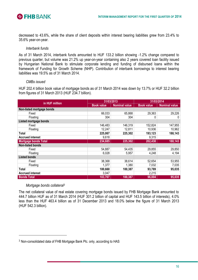

decreased to 43.6%, while the share of client deposits within interest bearing liabilities grew from 23.4% to 35.6% year-on-year.

#### *Interbank funds*

As of 31 March 2014, interbank funds amounted to HUF 133.2 billion showing -1.2% change compared to previous quarter, but volume was 21.2% up year-on-year containing also 2 years covered loan facility issued by Hungarian National Bank to stimulate corporate lending and funding of disbursed loans within the framework of Funding for Growth Scheme (NHP). Contribution of interbank borrowings to interest bearing liabilities was 19.5% as of 31 March 2014.

#### *CMBs issued*

HUF 202.4 billion book value of mortgage bonds as of 31 March 2014 was down by 13.7% or HUF 32.2 billion from figures of 31 March 2013 (HUF 234.7 billion).

|                             | 31/03/2013        |                      | 31/03/2014        |                      |  |
|-----------------------------|-------------------|----------------------|-------------------|----------------------|--|
| in HUF million              | <b>Book value</b> | <b>Nominal value</b> | <b>Book value</b> | <b>Nominal value</b> |  |
| Non-listed mortgage bonds   |                   |                      |                   |                      |  |
| Fixed                       | 66,033            | 65,868               | 29,363            | 29,226               |  |
| Floating                    | 304               | 304                  | 0                 | 0                    |  |
| Listed mortgage bonds       |                   |                      |                   |                      |  |
| Fixed                       | 146,483           | 146,319              | 152,824           | 147,955              |  |
| Floating                    | 12,247            | 12,811               | 10,936            | 10,962               |  |
| Total                       | 225,067           | 225,302              | 193,123           | 188,143              |  |
| <b>Accrued interest</b>     | 9,618             |                      | 9,315             |                      |  |
| <b>Mortgage bonds Total</b> | 234,685           | 225,302              | 202,438           | 188,143              |  |
| <b>Non-listed bonds</b>     |                   |                      |                   |                      |  |
| Fixed                       | 54,887            | 54,435               | 29,855            | 29,850               |  |
| Floating                    | 6,028             | 5,957                | 4,248             | 4,194                |  |
| <b>Listed bonds</b>         |                   |                      |                   |                      |  |
| Fixed                       | 38,368            | 38,614               | 52,654            | 53,955               |  |
| Floating                    | 1,377             | 1,380                | 7,032             | 7,035                |  |
| Total                       | 100,660           | 100,387              | 93,789            | 95,035               |  |
| <b>Accrued interest</b>     | 3,047             |                      | 2,215             |                      |  |
| <b>Bonds Total</b>          | 103,707           | 100,387              | 96,004            | 95,035               |  |

#### *Mortgage bonds collateral<sup>3</sup>*

1

The net collateral value of real estate covering mortgage bonds issued by FHB Mortgage Bank amounted to 444.7 billion HUF as of 31 March 2014 (HUF 301.2 billion of capital and HUF 143.5 billion of interests), 4.0% less than the HUF 463.4 billion as of 31 December 2013 and 18.0% below the figure of 31 March 2013 (HUF 542.3 billion).

<sup>3</sup> Non-consolidated data of FHB Mortgage Bank Plc. only, according to HAS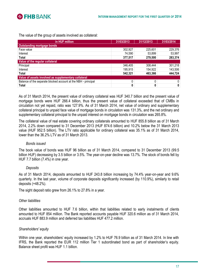

The value of the group of assets involved as collateral:

| in HUF million                                                 | 31/03/2013 | 31/12/2013 | 31/03/2014   |  |  |  |  |
|----------------------------------------------------------------|------------|------------|--------------|--|--|--|--|
| <b>Outstanding mortgage bonds</b>                              |            |            |              |  |  |  |  |
| Face value                                                     | 302,927    | 225,601    | 229,376      |  |  |  |  |
| Interest                                                       | 74,590     | 53,899     | 53,997       |  |  |  |  |
| Total                                                          | 377,517    | 279,500    | 283,374      |  |  |  |  |
| Value of the regular collateral                                |            |            |              |  |  |  |  |
| Principal                                                      | 346,405    | 308,444    | 301,218      |  |  |  |  |
| Interest                                                       | 195,915    | 154,922    | 143,506      |  |  |  |  |
| Total                                                          | 542,321    | 463,366    | 444,724      |  |  |  |  |
| Value of assets involved as supplementary collateral           |            |            |              |  |  |  |  |
| Balance of the separate blocked account at the NBH - principal | 0          |            | 0            |  |  |  |  |
| Total                                                          | 0          | 0          | $\mathbf{0}$ |  |  |  |  |

As of 31 March 2014, the present value of ordinary collateral was HUF 340.7 billion and the present value of mortgage bonds were HUF 266.4 billion, thus the present value of collateral exceeded that of CMBs in circulation not yet repaid, ratio was 127.9%. As of 31 March 2014, net value of ordinary and supplementary collateral principal to unpaid face value of mortgage bonds in circulation was 131.3%, and the net ordinary and supplementary collateral principal to the unpaid interest on mortgage bonds in circulation was 265.8%.

The collateral value of real estate covering ordinary collaterals amounted to HUF 855.8 billion as of 31 March 2014, 2.2% down compared to 31 December 2013 (HUF 874.6 billion) and 10.2% below the 31 March 2013 value (HUF 952.5 billion). The LTV ratio applicable for ordinary collateral was 35.1% as of 31 March 2014, lower than the 36.2% LTV as of 31 March 2013.

#### *Bonds issued*

The book value of bonds was HUF 96 billion as of 31 March 2014, compared to 31 December 2013 (99.5 billion HUF) decreasing by 3.5 billion or 3.5%. The year-on-year decline was 13.7%. The stock of bonds fell by HUF 7.7 billion (7.4%) in one year.

#### *Deposits*

As of 31 March 2014, deposits amounted to HUF 243.8 billion increasing by 74.4% year-on-year and 9.6% quarterly. In the last year, volume of corporate deposits significantly increased (by 110.9%), similarly to retail deposits (+48.2%).

The sight deposit ratio grew from 26.1% to 27.8% in a year.

#### *Other liabilities*

Other liabilities amounted to HUF 7.6 billion, within that liabilities related to early instalments of clients amounted to HUF 854 million. The Bank reported accounts payable HUF 320.6 million as of 31 March 2014, accruals HUF 883.9 million and deferred tax liabilities HUF 477.2 million.

# *Shareholders' equity*

Within one year, shareholders' equity increased by 1.2% to HUF 76.9 billion as of 31 March 2014. In line with IFRS, the Bank reported the EUR 112 million Tier 1 subordinated bond as part of shareholder's equity. Balance sheet profit was HUF 1.1 billion.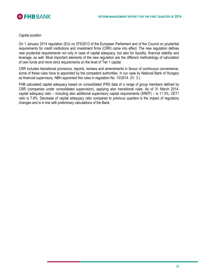

#### *Capital position*

On 1 January 2014 regulation (EU) no 575/2013 of the European Parliament and of the Council on prudential requirements for credit institutions and investment firms (CRR) came into effect. The new regulation defines new prudential requirements not only in case of capital adequacy, but also for liquidity, financial stability and leverage, as well. Most important elements of the new regulation are the different methodology of calculation of own funds and more strict requirements on the level of Tier 1 capital.

CRR includes transitional provisions, reports, reviews and amendments in favour of continuous convenience, some of these rules have to appointed by the competent authorities, in our case by National Bank of Hungary as financial supervisory. NBH appointed this rules in regulation No. 10/2014. (IV. 3.).

FHB calculated capital adequacy based on consolidated IFRS data of a range of group members defined by CRR (companies under consolidated supervision), applying also transitional rules. As of 31 March 2014, capital adequacy ratio – including also additional supervisory capital requirements (SREP) – is 11.3%, CET1 ratio is 7.8%. Decrease of capital adequacy ratio compared to previous quarters is the impact of regulatory changes and is in line with preliminary calculations of the Bank.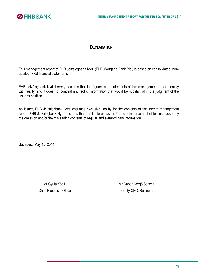

# **DECLARATION**

This management report of FHB Jelzálogbank Nyrt. (FHB Mortgage Bank Plc.) is based on consolidated, nonaudited IFRS financial statements.

FHB Jelzálogbank Nyrt. hereby declares that the figures and statements of this management report comply with reality, and it does not conceal any fact or information that would be substantial in the judgment of the issuer's position.

As issuer, FHB Jelzálogbank Nyrt. assumes exclusive liability for the contents of the Interim management report. FHB Jelzálogbank Nyrt. declares that it is liable as issuer for the reimbursement of losses caused by the omission and/or the misleading contents of regular and extraordinary information.

Budapest, May 15, 2014

Mr Gyula Köbli **Mr Gábor Gergő Soltész** Mr Gábor Gergő Soltész Chief Executive Officer **Deputy-CEO**, Business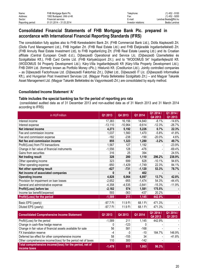| Name:             | FHB Mortgage Bank Plc.      | Telephone:          | (1) 452 - 9100       |
|-------------------|-----------------------------|---------------------|----------------------|
| Address:          | 1082 Budapest, Ullői út 48. | ⊦ax:                | (1) 452 - 9200       |
| Sector:           | <b>Financial services</b>   | E-mail:             | Lendvai.Beata@fhb.hu |
| Reporting period: | 01.01.2014 – 31.03.2014     | Investor relations: | Beáta Lendvai        |

# **Consolidated Financial Statements of FHB Mortgage Bank Plc. prepared in accordance with International Financial Reporting Standards (IFRS)**

The consolidation fully applies also to FHB Kereskedelmi Bank Zrt. (FHB Commercial Bank Ltd.), Diófa Alapkezelő Zrt. (Diofa Fund Management Ltd.), FHB Ingatlan Zrt. (FHB Real Estate Ltd.) and FHB Életjáradék Ingatlanbefektető Zrt. (FHB Annuity Real Estate Investment Ltd), to FHB Ingatlanlízing Zrt. (FHB Real Estate Leasing Ltd.) and its Croatian affiliate (Central European Credit d.d.), Díjbeszedő Operational and Service Llc. (Díjbeszedő Üzemeltetési és Szolgáltatási Kft.), FHB Card Centre Ltd. (FHB Kártyaközpont Zrt.); and to "WODOMUS 54" Ingatlanfejlesztő Kft. (WODOMUS 54 Property Development Ltd.); Káry-Villa Ingatlanfejlesztő Kft (Káry-Villa Property Development Ltd.); FHB DWH Ltd. (formerly known as Portfolio Money cPlc.); Hitelunió Kft. (Creditunion Ltd.). Jointly controlled companies – as Díjbeszedő Factorhouse Ltd. (Díjbeszedő Faktorház Zrt.), DíjNet Ltd., Díjbeszedő IT Llc. (Díjbeszedő Informatikai Kft.), and Hungarian Post Investment Services Ltd. (Magyar Posta Befektetési Szolgáltató Zrt.) – and Magyar Takarék Asset Management Ltd. (Magyar Takarék Befektetési és Vagyonkezelő Zrt.) are consolidated by equity method.

# **Consolidated Income Statement 'A'**

#### **Table includes the special banking tax for the period of reporting pro rata**

(consolidated audited data as of 31 December 2013 and non-audited data as of 31 March 2013 and 31 March 2014 according to IFRS)

| in HUFmillion                                                            | Q1 2013   | Q4 2013         | Q1 2014  | Q1 2014 /<br>Q4 2013 | Q1 2014 /<br>Q1 2013 |
|--------------------------------------------------------------------------|-----------|-----------------|----------|----------------------|----------------------|
| Interest income                                                          | 17,383    | 16,156          | 14,840   | $-8.1%$              | $-14.6%$             |
| Interest expense                                                         | $-13,110$ | $-10,964$       | $-9,614$ | $-12.3%$             | $-26.7%$             |
| Net interest income                                                      | 4,273     | 5,192           | 5,226    | 0.7%                 | 22.3%                |
| Fee and commission income                                                | 1,037     | 1,560           | 1,470    | $-5.8%$              | 41.8%                |
| Fee and commission expense                                               | $-182$    | $-238$          | $-190$   | $-20.0%$             | 4.6%                 |
| Net fee and commission income                                            | 855       | 1,323           | 1,280    | $-3.2%$              | 49.7%                |
| Profit/(Loss) from FX transactions                                       | 1,567     | 127             | 1,192    |                      | $-23.9%$             |
| Change in fair value of financial instruments                            | $-1,556$  | 128             | $-476$   |                      | $-69.4%$             |
| Gains from securities                                                    | 316       | $\overline{25}$ | 394      |                      | 24.5%                |
| Net trading result                                                       | 328       | 280             | 1,110    | 296.2%               | 238.9%               |
| Other operating income                                                   | 323       | 699             | 628      | $-10.1%$             | 94.6%                |
| Other operating expense                                                  | $-950$    | $-1,429$        | $-1,749$ | 22.3%                | 84.1%                |
| Net other operating result                                               | $-627$    | $-731$          | $-1,120$ | 53.3%                | 78.7%                |
| Net income of associated companies                                       | $\bf{0}$  | 0               | 402      |                      |                      |
| <b>Operating income</b>                                                  | 4,828     | 6,064           | 6,897    | 13.7%                | 42.8%                |
| Provision for impairment on loan losses                                  | $-2,652$  | $-955$          | $-1,474$ | 54.3%                | $-44.4%$             |
| General and administrative expense                                       | $-4,358$  | $-4,535$        | $-3,841$ | $-15.3%$             | $-11.9%$             |
| Profit/(Loss) before tax                                                 | $-2,182$  | 574             | 1,581    | 175.5%               |                      |
| Income tax benefit/(expense)                                             | 593       | $-363$          | $-437$   | 20.2%                |                      |
| Profit/(Loss) for the period                                             | $-1,589$  | 211             | 1,145    | 442.9%               |                      |
| Basic EPS (yearly)                                                       | -97.7 Ft  | 11.9 Ft         | 68.1 Ft  | 471.3%               |                      |
| Diluted EPS (yearly)                                                     | -97.7 Ft  | 11.9 Ft         | 68.1 Ft  | 471.3%               |                      |
| <b>Consolidated Comprehensive Income Statement</b>                       | Q1 2013   | Q4 2013         | Q1 2014  | Q1 2014 /<br>Q4 2013 | Q1 2014 /<br>Q1 2013 |
| Profit/(Loss) for the period                                             | $-1,589$  | 211             | 1,145    | 442.9%               |                      |
| Change in cash-flow hedge reserve                                        | 0         | $-123$          | 0        |                      |                      |
| Change in fair value of financial assets available for sale              | 56        | 581             | $-168$   |                      |                      |
| FX translation reserve                                                   | $-4$      | $-3$            | $-10$    | 184.7%               | 146.9%               |
| Deferred tax effect for other comprehensive income                       | 58        | $-155$          | 34       |                      | $-41.8%$             |
| Other comprehensive income/(loss) for the period net of taxes            | 110       | 300             | $-142$   |                      |                      |
| Total comprehensive income/(loss) for the period, net of<br>income taxes | $-1,479$  | 511             | 1,003    | 96.3%                |                      |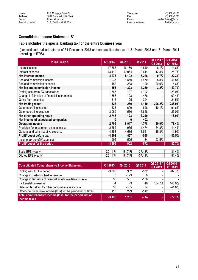# **Consolidated Income Statement 'B'**

# **Table includes the special banking tax for the entire business year**

(consolidated audited data as of 31 December 2013 and non-audited data as of 31 March 2013 and 31 March 2014 according to IFRS)

| in HUF million                                | Q1 2013     | Q4 2013   | Q1 2014    | Q1 2014 /<br>Q4 2013 | Q1 2014 /<br>Q1 2013 |
|-----------------------------------------------|-------------|-----------|------------|----------------------|----------------------|
| Interest income                               | 17,383      | 16,156    | 14,840     | $-8.1\%$             | $-14.6%$             |
| Interest expense                              | $-13,110$   | $-10,964$ | $-9,614$   | $-12.3%$             | $-26.7%$             |
| Net interest income                           | 4,273       | 5,192     | 5,226      | 0.7%                 | 22.3%                |
| Fee and commission income                     | 1,037       | 1,560     | 1,470      | $-5.8%$              | 41.8%                |
| Fee and commission expense                    | $-182$      | $-238$    | $-190$     | $-20.0%$             | 4.6%                 |
| Net fee and commission income                 | 855         | 1,323     | 1,280      | $-3.2%$              | 49.7%                |
| Profit/(Loss) from FX transactions            | 1,567       | 127       | 1,192      |                      | $-23.9%$             |
| Change in fair value of financial instruments | $-1,556$    | 128       | $-476$     |                      | -69.4%               |
| Gains from securities                         | 316         | 25        | 394        |                      | 24.5%                |
| Net trading result                            | 328         | 280       | 1,110      | 296.2%               | 238.9%               |
| Other operating income                        | 323         | 699       | 628        | $-10.1%$             | 94.6%                |
| Other operating expense                       | $-3,069$    | $-576$    | $-3,868$   |                      | 26.0%                |
| Net other operating result                    | $-2,746$    | 123       | $-3,240$   | ٠                    | 18.0%                |
| Net income of associated companies            | 0           | 0         | 402        |                      |                      |
| <b>Operating income</b>                       | 2,709       | 6,917     | 4,778      | $-30.9%$             | 76.4%                |
| Provision for impairment on loan losses       | $-2,652$    | $-955$    | $-1,474$   | 54.3%                | -44.4%               |
| General and administrative expense            | $-4,358$    | $-4,535$  | $-3,841$   | $-15.3%$             | -11.9%               |
| Profit/(Loss) before tax                      | $-4,301$    | 1,427     | $-538$     |                      | $-87.5%$             |
| Income tax benefit/(expense)                  | 995         | $-525$    | $-34$      | $-93.5%$             |                      |
| Profit/(Loss) for the period                  | $-3,306$    | 902       | $-572$     |                      | $-82.7%$             |
|                                               |             |           |            |                      |                      |
| Basic EPS (yearly)                            | $-201.1$ Ft | 54.7 Ft   | $-37.4$ Ft | ٠                    | $-81.4%$             |
| Diluted EPS (yearly)                          | $-201.1$ Ft | 54.7 Ft   | -37.4 Ft   |                      | $-81.4%$             |

| <b>Consolidated Comprehensive Income Statement</b>                       | Q1 2013  | Q4 2013 | Q1 2014 | Q1 2014 /<br>Q4 2013 | Q1 2014 /<br>Q1 2013 |
|--------------------------------------------------------------------------|----------|---------|---------|----------------------|----------------------|
| Profit/(Loss) for the period                                             | $-3.306$ | 902     | $-572$  |                      | $-82.7\%$            |
| Change in cash-flow hedge reserve                                        |          | $-123$  |         |                      |                      |
| Change in fair value of financial assets available for sale              | 56       | 581     | $-168$  |                      |                      |
| FX translation reserve                                                   | -4       | -3      | $-10$   | 184.7%               | 146.9%               |
| Deferred tax effect for other comprehensive income                       | 58       | $-155$  | 34      |                      | $-41.8%$             |
| Other comprehensive income/(loss) for the period net of taxes            | 110      | 299     | $-142$  |                      |                      |
| Total comprehensive income/(loss) for the period, net of<br>income taxes | $-3,196$ | 1.201   | $-714$  |                      | $-77.7%$             |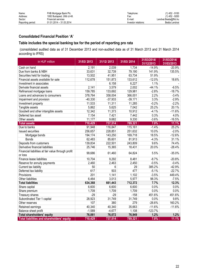# **Consolidated Financial Position 'A'**

# **Table includes the special banking tax for the period of reporting pro rata**

(consolidated audited data as of 31 December 2013 and non-audited data as of 31 March 2013 and 31 March 2014 according to IFRS)

| in HUF million                                     | 31/03/2013 | 31/12/2013 | 31/03/2014 | 31/03/2014/<br>31/12/2013 | 31/03/2014/<br>31/03/2013 |
|----------------------------------------------------|------------|------------|------------|---------------------------|---------------------------|
| Cash on hand                                       | 2,191      | 2,039      | 1,734      | $-14.9%$                  | $-20.9%$                  |
| Due from banks & NBH                               | 33,631     | 32,739     | 79,190     | 141.9%                    | 135.5%                    |
| Securities held for trading                        | 13,502     | 41,951     | 63,734     | 51.9%                     |                           |
| Financial assets available for sale                | 112,678    | 151,873    | 133,612    | $-12.0%$                  | 18.6%                     |
| Investment in associates                           |            | 6,158      | 6,227      | 1.1%                      |                           |
| Derivate financial assets                          | 2,141      | 3,579      | 2,002      | $-44.1%$                  | $-6.5%$                   |
| Refinanced mortgage loans                          | 159,785    | 133,692    | 129,981    | $-2.8%$                   | $-18.7%$                  |
| Loans and advances to consumers                    | 378,764    | 358,004    | 366,001    | 2.2%                      | $-3.4%$                   |
| Impairment and provision                           | $-40,330$  | $-37,933$  | $-39,171$  | 3.3%                      | $-2.9%$                   |
| Investment property                                | 11,533     | 11,311     | 11,285     | $-0.2%$                   | $-2.2%$                   |
| Tangible assets                                    | 5,862      | 5,625      | 7,042      | 25.2%                     | 20.1%                     |
| Goodwill and other intangible assets               | 12,342     | 11,373     | 10,912     | $-4.1%$                   | $-11.6%$                  |
| Deferred tax asset                                 | 7,154      | 7,421      | 7,442      | 0.3%                      | 4.0%                      |
| Other assets                                       | 11,177     | 9,682      | 9,330      | $-3.6%$                   | $-16.5%$                  |
| <b>Total assets</b>                                | 710,429    | 737,514    | 789,321    | 7.0%                      | 11.1%                     |
| Due to banks                                       | 91,948     | 116,847    | 115,161    | $-1.4%$                   | 25.2%                     |
| <b>Issued securities</b>                           | 256,657    | 228,851    | 251,632    | 10.0%                     | $-2.0%$                   |
| Mortgage bonds                                     | 194,174    | 143,250    | 169,718    | 18.5%                     | $-12.6%$                  |
| <b>Bonds</b>                                       | 62,483     | 85,601     | 81,913     | $-4.3%$                   | 31.1%                     |
| Deposits from customers                            | 139,834    | 222,501    | 243,809    | 9.6%                      | 74.4%                     |
| Derivative financial liabilities                   | 25,746     | 15,365     | 18,431     | 20.0%                     | $-28.4%$                  |
| Financial liabilities at fair value through profit |            |            |            |                           |                           |
| or loss                                            | 99,686     | 61,460     | 64,824     | 5.5%                      | $-35.0%$                  |
| Finance lease liabilities                          | 10,704     | 9,292      | 8,481      | $-8.7%$                   | $-20.8%$                  |
| Reserve for annuity payments                       | 2,460      | 2,463      | 2,450      | $-0.5%$                   | $-0.4%$                   |
| Current tax liability                              | 50         | 6          | 29         | 385.2%                    | $-42.9%$                  |
| Deferred tax liability                             | 617        | 503        | 477        | $-5.1%$                   | $-22.7%$                  |
| Provisions                                         | 201        | 1,141      | 1,102      | $-3.5%$                   | 449.4%                    |
| Other liabilities                                  | 6,464      | 3,013      | 5,977      | 98.3%                     | $-7.5%$                   |
| <b>Total liabilities</b>                           | 634,368    | 661,443    | 712,372    | 7.7%                      | 12.3%                     |
| Share capital                                      | 6,600      | 6,600      | 6,600      | 0.0%                      | 0.0%                      |
| Share premium                                      | 1,709      | 1,709      | 1,709      | 0.0%                      | 0.0%                      |
| Treasury shares                                    | $-29$      | $-29$      | $-158$     | 451.6%                    | 451.6%                    |
| Subordinated Tier 1 capital                        | 28,923     | 31,749     | 31,749     | 0.0%                      | 9.8%                      |
| Other reserves                                     | 107        | 380        | 279        | $-26.6%$                  | 160.2%                    |
| Retained earnings                                  | 40,340     | 40,340     | 35,663     | $-11.6%$                  | $-11.6%$                  |
| Balance sheet profit                               | $-1,589$   | $-4,677$   | 1,108      | $-123.7%$                 |                           |
| <b>Total shareholders' equity</b>                  | 76,061     | 76,072     | 76,949     | 1.2%                      | 1.2%                      |
| Total liabilities and shareholders' equity         | 710,429    | 737,514    | 789,321    | 7.0%                      | 11.1%                     |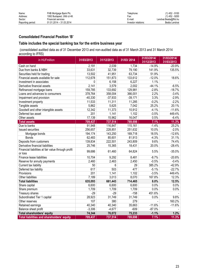# **Consolidated Financial Position 'B'**

# **Table includes the special banking tax for the entire business year**

(consolidated audited data as of 31 December 2013 and non-audited data as of 31 March 2013 and 31 March 2014 according to IFRS)

| in HUFmillion                                      | 31/03/2013 | 31/12/2013 | 31/03/2014 | 31/03/2014/<br>31/12/2013 | 31/03/2014/<br>31/03/2013 |
|----------------------------------------------------|------------|------------|------------|---------------------------|---------------------------|
| Cash on hand                                       | 2,191      | 2,039      | 1,734      | $-14.9%$                  | $-20.9%$                  |
| Due from banks & NBH                               | 33,631     | 32,739     | 79,190     | 141.9%                    | 135.5%                    |
| Securities held for trading                        | 13,502     | 41,951     | 63,734     | 51.9%                     |                           |
| Financial assets available for sale                | 112,678    | 151,873    | 133,612    | $-12.0%$                  | 18.6%                     |
| Investment in associates                           | 0          | 6,158      | 6,227      | 1.1%                      |                           |
| Derivative financial assets                        | 2,141      | 3,579      | 2,002      | $-44.1%$                  | $-6.5%$                   |
| Refinanced mortgage loans                          | 159,785    | 133,692    | 129,981    | $-2.8%$                   | $-18.7%$                  |
| Loans and advances to consumers                    | 378,764    | 358,004    | 366,001    | 2.2%                      | $-3.4%$                   |
| Impairment and provision                           | $-40,330$  | $-37,933$  | $-39,171$  | 3.3%                      | $-2.9%$                   |
| Investment property                                | 11,533     | 11,311     | 11,285     | $-0.2%$                   | $-2.2%$                   |
| Tangible assets                                    | 5,862      | 5,625      | 7,042      | 25.2%                     | 20.1%                     |
| Goodwill and other intangible assets               | 12,342     | 11,373     | 10,912     | $-4.1%$                   | $-11.6%$                  |
| Deferred tax asset                                 | 201        | 1,141      | 1,102      | $-3.5%$                   | 449.4%                    |
| Other assets                                       | 17,139     | 15,962     | 16,047     | 0.5%                      | $-6.4%$                   |
| <b>Total assets</b>                                | 709,437    | 737,514    | 789,698    | 7.1%                      | 11.3%                     |
| Due to banks                                       | 91,948     | 116,847    | 115,161    | $-1.4%$                   | 25.2%                     |
| <b>Issued securities</b>                           | 256,657    | 228,851    | 251,632    | 10.0%                     | $-2.0%$                   |
| Mortgage bonds                                     | 194,174    | 143,250    | 169,718    | 18.5%                     | $-12.6%$                  |
| <b>Bonds</b>                                       | 62,483     | 85,601     | 81,913     | $-4.3%$                   | 31.1%                     |
| Deposits from customers                            | 139,834    | 222,501    | 243,809    | 9.6%                      | 74.4%                     |
| Derivative financial liabilities                   | 25,746     | 15,365     | 18,431     | 20.0%                     | $-28.4%$                  |
| Financial liabilities at fair value through profit | 99,686     | 61,460     | 64,824     | 5.5%                      | $-35.0%$                  |
| or loss                                            |            |            |            |                           |                           |
| Finance lease liabilities                          | 10,704     | 9,292      | 8,481      | $-8.7%$                   | $-20.8%$                  |
| Reserve for annuity payments                       | 2,460      | 2,463      | 2,450      | $-0.5%$                   | $-0.4%$                   |
| Current tax liability                              | 50         | 6          | 29         | 385.2%                    | $-42.9%$                  |
| Deferred tax liability                             | 617        | 503        | 477        | $-5.1%$                   | $-22.7%$                  |
| Provisions                                         | 201        | 1,141      | 1,102      | $-3.5%$                   | 449.4%                    |
| Other liabilities                                  | 7,189      | 3,013      | 8,070      | 167.8%                    | 12.3%                     |
| <b>Total liabilities</b>                           | 635,093    | 661,443    | 714,465    | 8.0%                      | 12.5%                     |
| Share capital                                      | 6,600      | 6,600      | 6,600      | 0.0%                      | $0.0\%$                   |
| Share premium                                      | 1,709      | 1,709      | 1,709      | 0.0%                      | 0.0%                      |
| Treasury shares                                    | $-29$      | $-29$      | $-158$     | 451.6%                    |                           |
| Subordinated Tier 1 capital                        | 28,923     | 31,749     | 31,749     | 0.0%                      | 9.8%                      |
| Other reserves                                     | 107        | 380        | 279        |                           | 160.2%                    |
| Retained earnings                                  | 40,340     | 40,340     | 35,663     | $-11.6%$                  | $-11.6%$                  |
| Balance sheet profit                               | $-3,306$   | $-4,677$   | $-609$     | $-87.0%$                  |                           |
| <b>Total shareholders' equity</b>                  | 74,344     | 76,072     | 75,233     | $-1.1%$                   | 1.2%                      |
| Total liabilities and shareholders' equity         | 709,437    | 737,514    | 789,698    | 7.1%                      | 11.3%                     |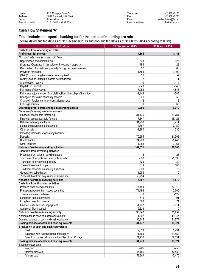| Name:             | FHB Mortgage Bank Plc.      | Telephone:          | (1) 452 - 9100       |
|-------------------|-----------------------------|---------------------|----------------------|
| Address:          | 1082 Budapest, Ullői út 48. | Fax:                | (1) 452 - 9200       |
| Sector:           | Financial services          | E-mail:             | Lendvai.Beata@fhb.hu |
| Reporting period: | 01.01.2014 – 31.03.2014     | Investor relations: | Beáta Lendvai        |
|                   |                             |                     |                      |

# **Cash Flow Statement 'A'**

#### **Table includes the special banking tax for the period of reporting pro rata**

(consolidated audited data as of 31 December 2013 and non-audited data as of 31 March 2014 according to IFRS)

| Cash flow from operating activities<br>Profit/(loss) for the year<br>$-4,664$<br>1,145<br>Non cash adjustments to net profit from:<br>Depreciation and amortization<br>2,533<br>625<br>(Increase)/Decrease in fair value of Investment property<br>184<br>22<br>57<br>$-68$<br>Recognition of investment property through income statement<br>1,554<br>1,199<br>Provision for losses<br>(Gain)/Loss on tangible assets derecognized<br>25<br>-9<br>$-2$<br>(Gain)/Loss on intangible assets derecognized<br>$-1$<br>Share option reserve<br>$\mathbf{0}$<br>$\overline{4}$<br>Capitalized interest<br>$-840$<br>$-845$<br>$-7,054$<br>Fair value of derivatives<br>4,643<br>$-1,448$<br>$-687$<br>Fair value adjustment on financial liabilities through profit and loss<br>Change in fair value of annuity reserve<br>361<br>59<br>Change in foreign currency translation reserve<br>$-2$<br>-8<br>$-69$<br>Leasing liabilities<br>$\Omega$<br>Operating profit before change in operating assets<br>$-9,295$<br>6,010<br>Decrease/(Increase) in operating assets:<br>Financial assets held for trading<br>$-34,135$<br>$-21,784$<br>Financial assets available for sale<br>7,347<br>31,298<br>Refinanced mortgage loans<br>14,767<br>Loans and advances to customers<br>$-1,380$<br>Other assets<br>330<br>Increase/(Decrease) in operating liabilities:<br>70,295<br>21,308<br>Deposits<br>Due to banks<br>24,263<br>$-1,088$<br>Other liabilities<br>Net cash flow from operating activities<br>102,071<br>22,065<br>Cash flow from investing activities<br>Proceeds from sales of tangible assets<br>25<br>6<br>Purchase of tangible and intangible assets<br>$-696$<br>$-1,596$<br>Purchase of investment property<br>$-409$<br>$-30$<br>319<br>Sale of investment property<br>103<br>$-308$<br>$-72$<br>Paid from reserves on annuity business<br>Goodwill on subsidiaries<br>$-1,054$<br>0<br>Net cash flow from acquisition of subsidiary<br>$-5,254$<br>$\mathbf{0}$<br>Net cash flow from investing activities<br>$-7,397$<br>$-1,570$<br>Cash flow from financing activities<br>Proceed from issued securities<br>77,184<br>32,312<br>$-174,488$<br>$-5,700$<br>Principal repayment on issued securities<br>Treasury shares purchased<br>0<br>$-510$<br>$-91$<br>Long term loans repayment<br>683<br>Long term loan borrowings<br>71<br>$-811$<br>$-1,737$<br>Finance lease liabilities repayment<br>Additional Tier 1 capital<br>2,826<br>Net cash flow from financing activity<br>-96,042<br>Net increase in cash and cash equivalents<br>$-1,367$<br>36,145<br>Opening balance of cash and cash equivalents<br>Closing balance of cash and cash equivalents<br>34,777<br>80,924<br>Breakdown of cash and cash equivalents:<br>Cash<br>2,039<br>Balances with National Bank of Hungary<br>11,469<br>21,270<br>Dues from banks with a maturity of less than 90 days<br>Closing balance of cash and cash equivalents<br>34,778<br>Supplementary data<br>Tax paid<br>$-960$<br>Interest received<br>65,168<br>$-52,281$<br>Interest paid | in HUF million | 31 December 2013 | 31 March 2014 |
|-----------------------------------------------------------------------------------------------------------------------------------------------------------------------------------------------------------------------------------------------------------------------------------------------------------------------------------------------------------------------------------------------------------------------------------------------------------------------------------------------------------------------------------------------------------------------------------------------------------------------------------------------------------------------------------------------------------------------------------------------------------------------------------------------------------------------------------------------------------------------------------------------------------------------------------------------------------------------------------------------------------------------------------------------------------------------------------------------------------------------------------------------------------------------------------------------------------------------------------------------------------------------------------------------------------------------------------------------------------------------------------------------------------------------------------------------------------------------------------------------------------------------------------------------------------------------------------------------------------------------------------------------------------------------------------------------------------------------------------------------------------------------------------------------------------------------------------------------------------------------------------------------------------------------------------------------------------------------------------------------------------------------------------------------------------------------------------------------------------------------------------------------------------------------------------------------------------------------------------------------------------------------------------------------------------------------------------------------------------------------------------------------------------------------------------------------------------------------------------------------------------------------------------------------------------------------------------------------------------------------------------------------------------------------------------------------------------------------------------------------------------------------------------------------------------------------------------------------------------------------------------------------------------------------------------------------------------------------------------------------------------------------------------------------------|----------------|------------------|---------------|
| 18,125<br>3,711<br>$-7,152$<br>$-1,447$<br>2,964<br>-129<br>$\mathbf{0}$<br>25,652<br>46,147<br>34,777<br>1,734<br>21,559<br>57,631<br>80,924<br>-458<br>12,600<br>$-7,470$                                                                                                                                                                                                                                                                                                                                                                                                                                                                                                                                                                                                                                                                                                                                                                                                                                                                                                                                                                                                                                                                                                                                                                                                                                                                                                                                                                                                                                                                                                                                                                                                                                                                                                                                                                                                                                                                                                                                                                                                                                                                                                                                                                                                                                                                                                                                                                                                                                                                                                                                                                                                                                                                                                                                                                                                                                                                         |                |                  |               |
|                                                                                                                                                                                                                                                                                                                                                                                                                                                                                                                                                                                                                                                                                                                                                                                                                                                                                                                                                                                                                                                                                                                                                                                                                                                                                                                                                                                                                                                                                                                                                                                                                                                                                                                                                                                                                                                                                                                                                                                                                                                                                                                                                                                                                                                                                                                                                                                                                                                                                                                                                                                                                                                                                                                                                                                                                                                                                                                                                                                                                                                     |                |                  |               |
|                                                                                                                                                                                                                                                                                                                                                                                                                                                                                                                                                                                                                                                                                                                                                                                                                                                                                                                                                                                                                                                                                                                                                                                                                                                                                                                                                                                                                                                                                                                                                                                                                                                                                                                                                                                                                                                                                                                                                                                                                                                                                                                                                                                                                                                                                                                                                                                                                                                                                                                                                                                                                                                                                                                                                                                                                                                                                                                                                                                                                                                     |                |                  |               |
|                                                                                                                                                                                                                                                                                                                                                                                                                                                                                                                                                                                                                                                                                                                                                                                                                                                                                                                                                                                                                                                                                                                                                                                                                                                                                                                                                                                                                                                                                                                                                                                                                                                                                                                                                                                                                                                                                                                                                                                                                                                                                                                                                                                                                                                                                                                                                                                                                                                                                                                                                                                                                                                                                                                                                                                                                                                                                                                                                                                                                                                     |                |                  |               |
|                                                                                                                                                                                                                                                                                                                                                                                                                                                                                                                                                                                                                                                                                                                                                                                                                                                                                                                                                                                                                                                                                                                                                                                                                                                                                                                                                                                                                                                                                                                                                                                                                                                                                                                                                                                                                                                                                                                                                                                                                                                                                                                                                                                                                                                                                                                                                                                                                                                                                                                                                                                                                                                                                                                                                                                                                                                                                                                                                                                                                                                     |                |                  |               |
|                                                                                                                                                                                                                                                                                                                                                                                                                                                                                                                                                                                                                                                                                                                                                                                                                                                                                                                                                                                                                                                                                                                                                                                                                                                                                                                                                                                                                                                                                                                                                                                                                                                                                                                                                                                                                                                                                                                                                                                                                                                                                                                                                                                                                                                                                                                                                                                                                                                                                                                                                                                                                                                                                                                                                                                                                                                                                                                                                                                                                                                     |                |                  |               |
|                                                                                                                                                                                                                                                                                                                                                                                                                                                                                                                                                                                                                                                                                                                                                                                                                                                                                                                                                                                                                                                                                                                                                                                                                                                                                                                                                                                                                                                                                                                                                                                                                                                                                                                                                                                                                                                                                                                                                                                                                                                                                                                                                                                                                                                                                                                                                                                                                                                                                                                                                                                                                                                                                                                                                                                                                                                                                                                                                                                                                                                     |                |                  |               |
|                                                                                                                                                                                                                                                                                                                                                                                                                                                                                                                                                                                                                                                                                                                                                                                                                                                                                                                                                                                                                                                                                                                                                                                                                                                                                                                                                                                                                                                                                                                                                                                                                                                                                                                                                                                                                                                                                                                                                                                                                                                                                                                                                                                                                                                                                                                                                                                                                                                                                                                                                                                                                                                                                                                                                                                                                                                                                                                                                                                                                                                     |                |                  |               |
|                                                                                                                                                                                                                                                                                                                                                                                                                                                                                                                                                                                                                                                                                                                                                                                                                                                                                                                                                                                                                                                                                                                                                                                                                                                                                                                                                                                                                                                                                                                                                                                                                                                                                                                                                                                                                                                                                                                                                                                                                                                                                                                                                                                                                                                                                                                                                                                                                                                                                                                                                                                                                                                                                                                                                                                                                                                                                                                                                                                                                                                     |                |                  |               |
|                                                                                                                                                                                                                                                                                                                                                                                                                                                                                                                                                                                                                                                                                                                                                                                                                                                                                                                                                                                                                                                                                                                                                                                                                                                                                                                                                                                                                                                                                                                                                                                                                                                                                                                                                                                                                                                                                                                                                                                                                                                                                                                                                                                                                                                                                                                                                                                                                                                                                                                                                                                                                                                                                                                                                                                                                                                                                                                                                                                                                                                     |                |                  |               |
|                                                                                                                                                                                                                                                                                                                                                                                                                                                                                                                                                                                                                                                                                                                                                                                                                                                                                                                                                                                                                                                                                                                                                                                                                                                                                                                                                                                                                                                                                                                                                                                                                                                                                                                                                                                                                                                                                                                                                                                                                                                                                                                                                                                                                                                                                                                                                                                                                                                                                                                                                                                                                                                                                                                                                                                                                                                                                                                                                                                                                                                     |                |                  |               |
|                                                                                                                                                                                                                                                                                                                                                                                                                                                                                                                                                                                                                                                                                                                                                                                                                                                                                                                                                                                                                                                                                                                                                                                                                                                                                                                                                                                                                                                                                                                                                                                                                                                                                                                                                                                                                                                                                                                                                                                                                                                                                                                                                                                                                                                                                                                                                                                                                                                                                                                                                                                                                                                                                                                                                                                                                                                                                                                                                                                                                                                     |                |                  |               |
|                                                                                                                                                                                                                                                                                                                                                                                                                                                                                                                                                                                                                                                                                                                                                                                                                                                                                                                                                                                                                                                                                                                                                                                                                                                                                                                                                                                                                                                                                                                                                                                                                                                                                                                                                                                                                                                                                                                                                                                                                                                                                                                                                                                                                                                                                                                                                                                                                                                                                                                                                                                                                                                                                                                                                                                                                                                                                                                                                                                                                                                     |                |                  |               |
|                                                                                                                                                                                                                                                                                                                                                                                                                                                                                                                                                                                                                                                                                                                                                                                                                                                                                                                                                                                                                                                                                                                                                                                                                                                                                                                                                                                                                                                                                                                                                                                                                                                                                                                                                                                                                                                                                                                                                                                                                                                                                                                                                                                                                                                                                                                                                                                                                                                                                                                                                                                                                                                                                                                                                                                                                                                                                                                                                                                                                                                     |                |                  |               |
|                                                                                                                                                                                                                                                                                                                                                                                                                                                                                                                                                                                                                                                                                                                                                                                                                                                                                                                                                                                                                                                                                                                                                                                                                                                                                                                                                                                                                                                                                                                                                                                                                                                                                                                                                                                                                                                                                                                                                                                                                                                                                                                                                                                                                                                                                                                                                                                                                                                                                                                                                                                                                                                                                                                                                                                                                                                                                                                                                                                                                                                     |                |                  |               |
|                                                                                                                                                                                                                                                                                                                                                                                                                                                                                                                                                                                                                                                                                                                                                                                                                                                                                                                                                                                                                                                                                                                                                                                                                                                                                                                                                                                                                                                                                                                                                                                                                                                                                                                                                                                                                                                                                                                                                                                                                                                                                                                                                                                                                                                                                                                                                                                                                                                                                                                                                                                                                                                                                                                                                                                                                                                                                                                                                                                                                                                     |                |                  |               |
|                                                                                                                                                                                                                                                                                                                                                                                                                                                                                                                                                                                                                                                                                                                                                                                                                                                                                                                                                                                                                                                                                                                                                                                                                                                                                                                                                                                                                                                                                                                                                                                                                                                                                                                                                                                                                                                                                                                                                                                                                                                                                                                                                                                                                                                                                                                                                                                                                                                                                                                                                                                                                                                                                                                                                                                                                                                                                                                                                                                                                                                     |                |                  |               |
|                                                                                                                                                                                                                                                                                                                                                                                                                                                                                                                                                                                                                                                                                                                                                                                                                                                                                                                                                                                                                                                                                                                                                                                                                                                                                                                                                                                                                                                                                                                                                                                                                                                                                                                                                                                                                                                                                                                                                                                                                                                                                                                                                                                                                                                                                                                                                                                                                                                                                                                                                                                                                                                                                                                                                                                                                                                                                                                                                                                                                                                     |                |                  |               |
|                                                                                                                                                                                                                                                                                                                                                                                                                                                                                                                                                                                                                                                                                                                                                                                                                                                                                                                                                                                                                                                                                                                                                                                                                                                                                                                                                                                                                                                                                                                                                                                                                                                                                                                                                                                                                                                                                                                                                                                                                                                                                                                                                                                                                                                                                                                                                                                                                                                                                                                                                                                                                                                                                                                                                                                                                                                                                                                                                                                                                                                     |                |                  |               |
|                                                                                                                                                                                                                                                                                                                                                                                                                                                                                                                                                                                                                                                                                                                                                                                                                                                                                                                                                                                                                                                                                                                                                                                                                                                                                                                                                                                                                                                                                                                                                                                                                                                                                                                                                                                                                                                                                                                                                                                                                                                                                                                                                                                                                                                                                                                                                                                                                                                                                                                                                                                                                                                                                                                                                                                                                                                                                                                                                                                                                                                     |                |                  |               |
|                                                                                                                                                                                                                                                                                                                                                                                                                                                                                                                                                                                                                                                                                                                                                                                                                                                                                                                                                                                                                                                                                                                                                                                                                                                                                                                                                                                                                                                                                                                                                                                                                                                                                                                                                                                                                                                                                                                                                                                                                                                                                                                                                                                                                                                                                                                                                                                                                                                                                                                                                                                                                                                                                                                                                                                                                                                                                                                                                                                                                                                     |                |                  |               |
|                                                                                                                                                                                                                                                                                                                                                                                                                                                                                                                                                                                                                                                                                                                                                                                                                                                                                                                                                                                                                                                                                                                                                                                                                                                                                                                                                                                                                                                                                                                                                                                                                                                                                                                                                                                                                                                                                                                                                                                                                                                                                                                                                                                                                                                                                                                                                                                                                                                                                                                                                                                                                                                                                                                                                                                                                                                                                                                                                                                                                                                     |                |                  |               |
|                                                                                                                                                                                                                                                                                                                                                                                                                                                                                                                                                                                                                                                                                                                                                                                                                                                                                                                                                                                                                                                                                                                                                                                                                                                                                                                                                                                                                                                                                                                                                                                                                                                                                                                                                                                                                                                                                                                                                                                                                                                                                                                                                                                                                                                                                                                                                                                                                                                                                                                                                                                                                                                                                                                                                                                                                                                                                                                                                                                                                                                     |                |                  |               |
|                                                                                                                                                                                                                                                                                                                                                                                                                                                                                                                                                                                                                                                                                                                                                                                                                                                                                                                                                                                                                                                                                                                                                                                                                                                                                                                                                                                                                                                                                                                                                                                                                                                                                                                                                                                                                                                                                                                                                                                                                                                                                                                                                                                                                                                                                                                                                                                                                                                                                                                                                                                                                                                                                                                                                                                                                                                                                                                                                                                                                                                     |                |                  |               |
|                                                                                                                                                                                                                                                                                                                                                                                                                                                                                                                                                                                                                                                                                                                                                                                                                                                                                                                                                                                                                                                                                                                                                                                                                                                                                                                                                                                                                                                                                                                                                                                                                                                                                                                                                                                                                                                                                                                                                                                                                                                                                                                                                                                                                                                                                                                                                                                                                                                                                                                                                                                                                                                                                                                                                                                                                                                                                                                                                                                                                                                     |                |                  |               |
|                                                                                                                                                                                                                                                                                                                                                                                                                                                                                                                                                                                                                                                                                                                                                                                                                                                                                                                                                                                                                                                                                                                                                                                                                                                                                                                                                                                                                                                                                                                                                                                                                                                                                                                                                                                                                                                                                                                                                                                                                                                                                                                                                                                                                                                                                                                                                                                                                                                                                                                                                                                                                                                                                                                                                                                                                                                                                                                                                                                                                                                     |                |                  |               |
|                                                                                                                                                                                                                                                                                                                                                                                                                                                                                                                                                                                                                                                                                                                                                                                                                                                                                                                                                                                                                                                                                                                                                                                                                                                                                                                                                                                                                                                                                                                                                                                                                                                                                                                                                                                                                                                                                                                                                                                                                                                                                                                                                                                                                                                                                                                                                                                                                                                                                                                                                                                                                                                                                                                                                                                                                                                                                                                                                                                                                                                     |                |                  |               |
|                                                                                                                                                                                                                                                                                                                                                                                                                                                                                                                                                                                                                                                                                                                                                                                                                                                                                                                                                                                                                                                                                                                                                                                                                                                                                                                                                                                                                                                                                                                                                                                                                                                                                                                                                                                                                                                                                                                                                                                                                                                                                                                                                                                                                                                                                                                                                                                                                                                                                                                                                                                                                                                                                                                                                                                                                                                                                                                                                                                                                                                     |                |                  |               |
|                                                                                                                                                                                                                                                                                                                                                                                                                                                                                                                                                                                                                                                                                                                                                                                                                                                                                                                                                                                                                                                                                                                                                                                                                                                                                                                                                                                                                                                                                                                                                                                                                                                                                                                                                                                                                                                                                                                                                                                                                                                                                                                                                                                                                                                                                                                                                                                                                                                                                                                                                                                                                                                                                                                                                                                                                                                                                                                                                                                                                                                     |                |                  |               |
|                                                                                                                                                                                                                                                                                                                                                                                                                                                                                                                                                                                                                                                                                                                                                                                                                                                                                                                                                                                                                                                                                                                                                                                                                                                                                                                                                                                                                                                                                                                                                                                                                                                                                                                                                                                                                                                                                                                                                                                                                                                                                                                                                                                                                                                                                                                                                                                                                                                                                                                                                                                                                                                                                                                                                                                                                                                                                                                                                                                                                                                     |                |                  |               |
|                                                                                                                                                                                                                                                                                                                                                                                                                                                                                                                                                                                                                                                                                                                                                                                                                                                                                                                                                                                                                                                                                                                                                                                                                                                                                                                                                                                                                                                                                                                                                                                                                                                                                                                                                                                                                                                                                                                                                                                                                                                                                                                                                                                                                                                                                                                                                                                                                                                                                                                                                                                                                                                                                                                                                                                                                                                                                                                                                                                                                                                     |                |                  |               |
|                                                                                                                                                                                                                                                                                                                                                                                                                                                                                                                                                                                                                                                                                                                                                                                                                                                                                                                                                                                                                                                                                                                                                                                                                                                                                                                                                                                                                                                                                                                                                                                                                                                                                                                                                                                                                                                                                                                                                                                                                                                                                                                                                                                                                                                                                                                                                                                                                                                                                                                                                                                                                                                                                                                                                                                                                                                                                                                                                                                                                                                     |                |                  |               |
|                                                                                                                                                                                                                                                                                                                                                                                                                                                                                                                                                                                                                                                                                                                                                                                                                                                                                                                                                                                                                                                                                                                                                                                                                                                                                                                                                                                                                                                                                                                                                                                                                                                                                                                                                                                                                                                                                                                                                                                                                                                                                                                                                                                                                                                                                                                                                                                                                                                                                                                                                                                                                                                                                                                                                                                                                                                                                                                                                                                                                                                     |                |                  |               |
|                                                                                                                                                                                                                                                                                                                                                                                                                                                                                                                                                                                                                                                                                                                                                                                                                                                                                                                                                                                                                                                                                                                                                                                                                                                                                                                                                                                                                                                                                                                                                                                                                                                                                                                                                                                                                                                                                                                                                                                                                                                                                                                                                                                                                                                                                                                                                                                                                                                                                                                                                                                                                                                                                                                                                                                                                                                                                                                                                                                                                                                     |                |                  |               |
|                                                                                                                                                                                                                                                                                                                                                                                                                                                                                                                                                                                                                                                                                                                                                                                                                                                                                                                                                                                                                                                                                                                                                                                                                                                                                                                                                                                                                                                                                                                                                                                                                                                                                                                                                                                                                                                                                                                                                                                                                                                                                                                                                                                                                                                                                                                                                                                                                                                                                                                                                                                                                                                                                                                                                                                                                                                                                                                                                                                                                                                     |                |                  |               |
|                                                                                                                                                                                                                                                                                                                                                                                                                                                                                                                                                                                                                                                                                                                                                                                                                                                                                                                                                                                                                                                                                                                                                                                                                                                                                                                                                                                                                                                                                                                                                                                                                                                                                                                                                                                                                                                                                                                                                                                                                                                                                                                                                                                                                                                                                                                                                                                                                                                                                                                                                                                                                                                                                                                                                                                                                                                                                                                                                                                                                                                     |                |                  |               |
|                                                                                                                                                                                                                                                                                                                                                                                                                                                                                                                                                                                                                                                                                                                                                                                                                                                                                                                                                                                                                                                                                                                                                                                                                                                                                                                                                                                                                                                                                                                                                                                                                                                                                                                                                                                                                                                                                                                                                                                                                                                                                                                                                                                                                                                                                                                                                                                                                                                                                                                                                                                                                                                                                                                                                                                                                                                                                                                                                                                                                                                     |                |                  |               |
|                                                                                                                                                                                                                                                                                                                                                                                                                                                                                                                                                                                                                                                                                                                                                                                                                                                                                                                                                                                                                                                                                                                                                                                                                                                                                                                                                                                                                                                                                                                                                                                                                                                                                                                                                                                                                                                                                                                                                                                                                                                                                                                                                                                                                                                                                                                                                                                                                                                                                                                                                                                                                                                                                                                                                                                                                                                                                                                                                                                                                                                     |                |                  |               |
|                                                                                                                                                                                                                                                                                                                                                                                                                                                                                                                                                                                                                                                                                                                                                                                                                                                                                                                                                                                                                                                                                                                                                                                                                                                                                                                                                                                                                                                                                                                                                                                                                                                                                                                                                                                                                                                                                                                                                                                                                                                                                                                                                                                                                                                                                                                                                                                                                                                                                                                                                                                                                                                                                                                                                                                                                                                                                                                                                                                                                                                     |                |                  |               |
|                                                                                                                                                                                                                                                                                                                                                                                                                                                                                                                                                                                                                                                                                                                                                                                                                                                                                                                                                                                                                                                                                                                                                                                                                                                                                                                                                                                                                                                                                                                                                                                                                                                                                                                                                                                                                                                                                                                                                                                                                                                                                                                                                                                                                                                                                                                                                                                                                                                                                                                                                                                                                                                                                                                                                                                                                                                                                                                                                                                                                                                     |                |                  |               |
|                                                                                                                                                                                                                                                                                                                                                                                                                                                                                                                                                                                                                                                                                                                                                                                                                                                                                                                                                                                                                                                                                                                                                                                                                                                                                                                                                                                                                                                                                                                                                                                                                                                                                                                                                                                                                                                                                                                                                                                                                                                                                                                                                                                                                                                                                                                                                                                                                                                                                                                                                                                                                                                                                                                                                                                                                                                                                                                                                                                                                                                     |                |                  |               |
|                                                                                                                                                                                                                                                                                                                                                                                                                                                                                                                                                                                                                                                                                                                                                                                                                                                                                                                                                                                                                                                                                                                                                                                                                                                                                                                                                                                                                                                                                                                                                                                                                                                                                                                                                                                                                                                                                                                                                                                                                                                                                                                                                                                                                                                                                                                                                                                                                                                                                                                                                                                                                                                                                                                                                                                                                                                                                                                                                                                                                                                     |                |                  |               |
|                                                                                                                                                                                                                                                                                                                                                                                                                                                                                                                                                                                                                                                                                                                                                                                                                                                                                                                                                                                                                                                                                                                                                                                                                                                                                                                                                                                                                                                                                                                                                                                                                                                                                                                                                                                                                                                                                                                                                                                                                                                                                                                                                                                                                                                                                                                                                                                                                                                                                                                                                                                                                                                                                                                                                                                                                                                                                                                                                                                                                                                     |                |                  |               |
|                                                                                                                                                                                                                                                                                                                                                                                                                                                                                                                                                                                                                                                                                                                                                                                                                                                                                                                                                                                                                                                                                                                                                                                                                                                                                                                                                                                                                                                                                                                                                                                                                                                                                                                                                                                                                                                                                                                                                                                                                                                                                                                                                                                                                                                                                                                                                                                                                                                                                                                                                                                                                                                                                                                                                                                                                                                                                                                                                                                                                                                     |                |                  |               |
|                                                                                                                                                                                                                                                                                                                                                                                                                                                                                                                                                                                                                                                                                                                                                                                                                                                                                                                                                                                                                                                                                                                                                                                                                                                                                                                                                                                                                                                                                                                                                                                                                                                                                                                                                                                                                                                                                                                                                                                                                                                                                                                                                                                                                                                                                                                                                                                                                                                                                                                                                                                                                                                                                                                                                                                                                                                                                                                                                                                                                                                     |                |                  |               |
|                                                                                                                                                                                                                                                                                                                                                                                                                                                                                                                                                                                                                                                                                                                                                                                                                                                                                                                                                                                                                                                                                                                                                                                                                                                                                                                                                                                                                                                                                                                                                                                                                                                                                                                                                                                                                                                                                                                                                                                                                                                                                                                                                                                                                                                                                                                                                                                                                                                                                                                                                                                                                                                                                                                                                                                                                                                                                                                                                                                                                                                     |                |                  |               |
|                                                                                                                                                                                                                                                                                                                                                                                                                                                                                                                                                                                                                                                                                                                                                                                                                                                                                                                                                                                                                                                                                                                                                                                                                                                                                                                                                                                                                                                                                                                                                                                                                                                                                                                                                                                                                                                                                                                                                                                                                                                                                                                                                                                                                                                                                                                                                                                                                                                                                                                                                                                                                                                                                                                                                                                                                                                                                                                                                                                                                                                     |                |                  |               |
|                                                                                                                                                                                                                                                                                                                                                                                                                                                                                                                                                                                                                                                                                                                                                                                                                                                                                                                                                                                                                                                                                                                                                                                                                                                                                                                                                                                                                                                                                                                                                                                                                                                                                                                                                                                                                                                                                                                                                                                                                                                                                                                                                                                                                                                                                                                                                                                                                                                                                                                                                                                                                                                                                                                                                                                                                                                                                                                                                                                                                                                     |                |                  |               |
|                                                                                                                                                                                                                                                                                                                                                                                                                                                                                                                                                                                                                                                                                                                                                                                                                                                                                                                                                                                                                                                                                                                                                                                                                                                                                                                                                                                                                                                                                                                                                                                                                                                                                                                                                                                                                                                                                                                                                                                                                                                                                                                                                                                                                                                                                                                                                                                                                                                                                                                                                                                                                                                                                                                                                                                                                                                                                                                                                                                                                                                     |                |                  |               |
|                                                                                                                                                                                                                                                                                                                                                                                                                                                                                                                                                                                                                                                                                                                                                                                                                                                                                                                                                                                                                                                                                                                                                                                                                                                                                                                                                                                                                                                                                                                                                                                                                                                                                                                                                                                                                                                                                                                                                                                                                                                                                                                                                                                                                                                                                                                                                                                                                                                                                                                                                                                                                                                                                                                                                                                                                                                                                                                                                                                                                                                     |                |                  |               |
|                                                                                                                                                                                                                                                                                                                                                                                                                                                                                                                                                                                                                                                                                                                                                                                                                                                                                                                                                                                                                                                                                                                                                                                                                                                                                                                                                                                                                                                                                                                                                                                                                                                                                                                                                                                                                                                                                                                                                                                                                                                                                                                                                                                                                                                                                                                                                                                                                                                                                                                                                                                                                                                                                                                                                                                                                                                                                                                                                                                                                                                     |                |                  |               |
|                                                                                                                                                                                                                                                                                                                                                                                                                                                                                                                                                                                                                                                                                                                                                                                                                                                                                                                                                                                                                                                                                                                                                                                                                                                                                                                                                                                                                                                                                                                                                                                                                                                                                                                                                                                                                                                                                                                                                                                                                                                                                                                                                                                                                                                                                                                                                                                                                                                                                                                                                                                                                                                                                                                                                                                                                                                                                                                                                                                                                                                     |                |                  |               |
|                                                                                                                                                                                                                                                                                                                                                                                                                                                                                                                                                                                                                                                                                                                                                                                                                                                                                                                                                                                                                                                                                                                                                                                                                                                                                                                                                                                                                                                                                                                                                                                                                                                                                                                                                                                                                                                                                                                                                                                                                                                                                                                                                                                                                                                                                                                                                                                                                                                                                                                                                                                                                                                                                                                                                                                                                                                                                                                                                                                                                                                     |                |                  |               |
|                                                                                                                                                                                                                                                                                                                                                                                                                                                                                                                                                                                                                                                                                                                                                                                                                                                                                                                                                                                                                                                                                                                                                                                                                                                                                                                                                                                                                                                                                                                                                                                                                                                                                                                                                                                                                                                                                                                                                                                                                                                                                                                                                                                                                                                                                                                                                                                                                                                                                                                                                                                                                                                                                                                                                                                                                                                                                                                                                                                                                                                     |                |                  |               |
|                                                                                                                                                                                                                                                                                                                                                                                                                                                                                                                                                                                                                                                                                                                                                                                                                                                                                                                                                                                                                                                                                                                                                                                                                                                                                                                                                                                                                                                                                                                                                                                                                                                                                                                                                                                                                                                                                                                                                                                                                                                                                                                                                                                                                                                                                                                                                                                                                                                                                                                                                                                                                                                                                                                                                                                                                                                                                                                                                                                                                                                     |                |                  |               |
|                                                                                                                                                                                                                                                                                                                                                                                                                                                                                                                                                                                                                                                                                                                                                                                                                                                                                                                                                                                                                                                                                                                                                                                                                                                                                                                                                                                                                                                                                                                                                                                                                                                                                                                                                                                                                                                                                                                                                                                                                                                                                                                                                                                                                                                                                                                                                                                                                                                                                                                                                                                                                                                                                                                                                                                                                                                                                                                                                                                                                                                     |                |                  |               |
|                                                                                                                                                                                                                                                                                                                                                                                                                                                                                                                                                                                                                                                                                                                                                                                                                                                                                                                                                                                                                                                                                                                                                                                                                                                                                                                                                                                                                                                                                                                                                                                                                                                                                                                                                                                                                                                                                                                                                                                                                                                                                                                                                                                                                                                                                                                                                                                                                                                                                                                                                                                                                                                                                                                                                                                                                                                                                                                                                                                                                                                     |                |                  |               |
|                                                                                                                                                                                                                                                                                                                                                                                                                                                                                                                                                                                                                                                                                                                                                                                                                                                                                                                                                                                                                                                                                                                                                                                                                                                                                                                                                                                                                                                                                                                                                                                                                                                                                                                                                                                                                                                                                                                                                                                                                                                                                                                                                                                                                                                                                                                                                                                                                                                                                                                                                                                                                                                                                                                                                                                                                                                                                                                                                                                                                                                     |                |                  |               |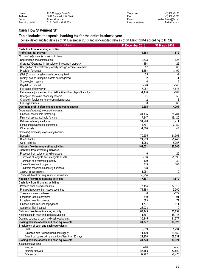| Name:<br>Address:<br>Sector: | FHB Mortgage Bank Plc.<br>1082 Budapest, Ullői út 48.<br>Financial services | Telephone:<br>Fax:<br>E-mail: | $(1)$ 452 - 9100<br>$(1)$ 452 - 9200<br>Lendvai.Beata@fhb.hu |
|------------------------------|-----------------------------------------------------------------------------|-------------------------------|--------------------------------------------------------------|
| Reporting period:            | 01.01.2014 – 31.03.2014                                                     | Investor relations:           | Beáta Lendvai                                                |
|                              |                                                                             |                               |                                                              |

# **Cash Flow Statement 'B'**

#### **Table includes the special banking tax for the entire business year**

(consolidated audited data as of 31 December 2013 and non-audited data as of 31 March 2014 according to IFRS)

| in HUF million                                                                 | 31 December 2013 | 31 March 2014 |
|--------------------------------------------------------------------------------|------------------|---------------|
| Cash flow from operating activities                                            |                  |               |
| Profit/(loss) for the year                                                     | $-4,664$         | $-572$        |
| Non cash adjustments to net profit from:                                       |                  |               |
| Depreciation and amortization                                                  | 2,533            | 625           |
| (Increase)/Decrease in fair value of Investment property                       | 184              | 22            |
| Recognition of investment property through income statement                    | 57               | $-68$         |
| Provision for losses                                                           | 1,554            | 1,199         |
| (Gain)/Loss on tangible assets derecognized                                    | 25               | -9            |
| (Gain)/Loss on intangible assets derecognized                                  | $-2$             | $-1$          |
| Share option reserve                                                           | $\mathbf{0}$     | 4             |
| Capitalized interest                                                           | $-840$           | $-845$        |
| Fair value of derivatives                                                      | $-7,054$         | 4,643         |
| Fair value adjustment on financial liabilities through profit and loss         | $-1,448$         | $-687$        |
| Change in fair value of annuity reserve                                        | 361              | 59            |
| Change in foreign currency translation reserve                                 | $-2$             | -8            |
| Leasing liabilities                                                            | $\Omega$         | $-69$         |
| Operating profit before change in operating assets                             | $-9,295$         | 4,294         |
| Decrease/(Increase) in operating assets:                                       |                  |               |
| Financial assets held for trading                                              | $-34,135$        | $-21,784$     |
| Financial assets available for sale                                            | 7,347            | 18,125        |
| Refinanced mortgage loans                                                      | 31,298           | 3,711         |
| Loans and advances to customers                                                | 14,767           | $-7,152$      |
| Other assets                                                                   | $-1,380$         | $-47$         |
| Increase/(Decrease) in operating liabilities:                                  |                  |               |
| Deposits                                                                       | 70,295           | 21,308        |
| Due to banks                                                                   | 24,263           | $-1,447$      |
| Other liabilities                                                              | $-1,088$         | 5,057         |
|                                                                                |                  |               |
| Net cash flow from operating activities<br>Cash flow from investing activities | 102,071          | 22,065        |
| Proceeds from sales of tangible assets                                         | 6                | 25            |
| Purchase of tangible and intangible assets                                     | $-696$           | $-1,596$      |
| Purchase of investment property                                                | $-409$           | $-30$         |
|                                                                                | 319              | 103           |
| Sale of investment property                                                    |                  |               |
| Paid from reserves on annuity business                                         | $-308$           | $-72$         |
| Goodwill on subsidiaries                                                       | $-1,054$         | 0             |
| Net cash flow from acquisition of subsidiary                                   | $-5,254$         | $\mathbf{0}$  |
| Net cash flow from investing activities                                        | $-7,397$         | $-1,570$      |
| Cash flow from financing activities                                            |                  |               |
| Proceed from issued securities                                                 | 77,184           | 32,312        |
| Principal repayment on issued securities                                       | $-174,488$       | $-5,700$      |
| Treasury shares purchased                                                      | 0                | -129          |
| Long term loans repayment                                                      | $-510$           | $-91$         |
| Long term loan borrowings                                                      | 683              | 71            |
| Finance lease liabilities repayment                                            | $-1,737$         | $-811$        |
| Additional Tier 1 capital                                                      | 28,923           | $\mathbf{0}$  |
| Net cash flow from financing activity                                          | -69,945          | 25,652        |
| Net increase in cash and cash equivalents                                      | $-1,367$         | 46,146        |
| Opening balance of cash and cash equivalents                                   | 36,145           | 34,777        |
| Closing balance of cash and cash equivalents                                   | 34,777           | 80,923        |
| Breakdown of cash and cash equivalents:                                        |                  |               |
| Cash                                                                           | 2,039            | 1,734         |
| Balances with National Bank of Hungary                                         | 11,469           | 21,559        |
| Dues from banks with a maturity of less than 90 days                           | 21,270           | 57,631        |
| Closing balance of cash and cash equivalents                                   | 34,778           | 80,924        |
| Supplementary data                                                             |                  |               |
| Tax paid                                                                       | $-960$           | -458          |
| Interest received                                                              | 65,168           | 12,600        |
| Interest paid                                                                  | $-52,281$        | $-7,470$      |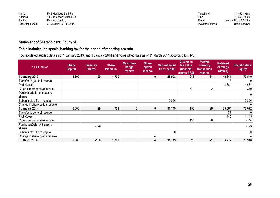| Name:             | FHB Mortgage Bank Plc.      | Telephone:          | $(1)$ 452 - 9100     |
|-------------------|-----------------------------|---------------------|----------------------|
| Address:          | 1082 Budapest, Ullői út 48. | '−ах.               | $(1)$ 452 - 9200     |
| Sector:           | Financial services          | E-mail:             | Lendvai.Beata@fhb.hu |
| Reporting period: | $01.01.2014 - 31.03.2014$   | Investor relations: | Beáta Lendvai        |

# **Statement of Shareholders' Equity 'A'**

# **Table includes the special banking tax for the period of reporting pro rata**

(consolidated audited data as of 1 January 2013, and 1 January 2014 and non-audited data as of 31 March 2014 according to IFRS)

| in HUF million                 | <b>Share</b><br><b>Capital</b> | <b>Treasury</b><br><b>Shares</b> | <b>Share</b><br><b>Premium</b> | <b>Cash-flow</b><br>hedge<br>reserve | <b>Share</b><br>option<br>reserve | <b>Subordinated</b><br><b>Tier 1 capital</b> | Change in<br>fair value<br>(financial<br>assets AFS) | Foreign<br>currency<br>transaction<br>reserve | <b>Retained</b><br>earnings<br>(deficit) | Shareholders'<br><b>Equity</b> |
|--------------------------------|--------------------------------|----------------------------------|--------------------------------|--------------------------------------|-----------------------------------|----------------------------------------------|------------------------------------------------------|-----------------------------------------------|------------------------------------------|--------------------------------|
| 1 January 2013                 | 6,600                          | $-29$                            | 1,709                          |                                      | $\mathbf{0}$                      | 28,923                                       | $-216$                                               | 31                                            | 40,341                                   | 77,540                         |
| Transfer to general reserve    |                                |                                  |                                |                                      |                                   |                                              |                                                      |                                               | $-13$                                    | 0                              |
| Profit/(Loss)                  |                                |                                  |                                |                                      |                                   |                                              |                                                      |                                               | $-4,664$                                 | $-4,664$                       |
| Other comprehensive income     |                                |                                  |                                |                                      |                                   |                                              | 372                                                  | $-2$                                          |                                          | 370                            |
| Purchase/(Sale) of treasury    |                                |                                  |                                |                                      |                                   |                                              |                                                      |                                               |                                          | 0                              |
| shares                         |                                |                                  |                                |                                      |                                   |                                              |                                                      |                                               |                                          |                                |
| Subordinated Tier 1 capital    |                                |                                  |                                |                                      |                                   | 2,826                                        |                                                      |                                               |                                          | 2,826                          |
| Change in share option reserve |                                |                                  |                                |                                      |                                   |                                              |                                                      |                                               |                                          | 0                              |
| 1 January 2014                 | 6,600                          | $-29$                            | 1,709                          | $\bf{0}$                             | 0                                 | 31,749                                       | 156                                                  | 29                                            | 35,664                                   | 76,072                         |
| Transfer to general reserve    |                                |                                  |                                |                                      |                                   |                                              |                                                      |                                               | $-37$                                    | 0                              |
| Profit/(Loss)                  |                                |                                  |                                |                                      |                                   |                                              |                                                      |                                               | 1,145                                    | 1,145                          |
| Other comprehensive income     |                                |                                  |                                |                                      |                                   |                                              | $-136$                                               | -8                                            |                                          | $-144$                         |
| Purchase/(Sale) of treasury    |                                | $-129$                           |                                |                                      |                                   |                                              |                                                      |                                               |                                          | $-129$                         |
| shares                         |                                |                                  |                                |                                      |                                   |                                              |                                                      |                                               |                                          |                                |
| Subordinated Tier 1 capital    |                                |                                  |                                |                                      |                                   | 0                                            |                                                      |                                               |                                          | 0                              |
| Change in share option reserve |                                |                                  |                                |                                      | 4                                 |                                              |                                                      |                                               |                                          | 4                              |
| 31 March 2014                  | 6,600                          | $-158$                           | 1,709                          | 0                                    | 4                                 | 31,749                                       | 20                                                   | 21                                            | 36,772                                   | 76,948                         |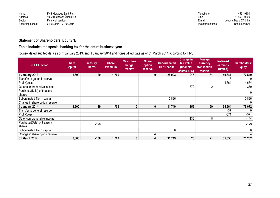| Name:             | FHB Mortgage Bank Plc.      | Telephone:          | $(1)$ 452 - 9100     |
|-------------------|-----------------------------|---------------------|----------------------|
| Address:          | 1082 Budapest, Üllői út 48. | ⊦ax:                | $(1)$ 452 - 9200     |
| Sector:           | Financial services          | E-mail:             | Lendvai.Beata@fhb.hu |
| Reporting period: | 01.01.2014 - 31.03.2014     | Investor relations: | Beáta Lendvai        |

# **Statement of Shareholders' Equity 'B'**

# **Table includes the special banking tax for the entire business year**

(consolidated audited data as of 1 January 2013, and 1 January 2014 and non-audited data as of 31 March 2014 according to IFRS)

| in HUF million                 | <b>Share</b><br><b>Capital</b> | <b>Treasury</b><br><b>Shares</b> | <b>Share</b><br><b>Premium</b> | <b>Cash-flow</b><br>hedge<br><b>reserve</b> | <b>Share</b><br>option<br>reserve | <b>Subordinated</b><br><b>Tier 1 capital</b> | Change in<br>fair value<br>(financial<br>assets AFS) | <b>Foreign</b><br>currency<br>transaction<br><b>reserve</b> | <b>Retained</b><br>earnings<br>(deficit) | Shareholders'<br><b>Equity</b> |
|--------------------------------|--------------------------------|----------------------------------|--------------------------------|---------------------------------------------|-----------------------------------|----------------------------------------------|------------------------------------------------------|-------------------------------------------------------------|------------------------------------------|--------------------------------|
| 1 January 2013                 | 6,600                          | $-29$                            | 1,709                          |                                             | $\mathbf{0}$                      | 28,923                                       | $-216$                                               | 31                                                          | 40,341                                   | 77,540                         |
| Transfer to general reserve    |                                |                                  |                                |                                             |                                   |                                              |                                                      |                                                             | $-13$                                    | 0                              |
| Profit/(Loss)                  |                                |                                  |                                |                                             |                                   |                                              |                                                      |                                                             | $-4,664$                                 | $-4,664$                       |
| Other comprehensive income     |                                |                                  |                                |                                             |                                   |                                              | 372                                                  | $-2$                                                        |                                          | 370                            |
| Purchase/(Sale) of treasury    |                                |                                  |                                |                                             |                                   |                                              |                                                      |                                                             |                                          | 0                              |
| shares                         |                                |                                  |                                |                                             |                                   |                                              |                                                      |                                                             |                                          |                                |
| Subordinated Tier 1 capital    |                                |                                  |                                |                                             |                                   | 2,826                                        |                                                      |                                                             |                                          | 2,826                          |
| Change in share option reserve |                                |                                  |                                |                                             |                                   |                                              |                                                      |                                                             |                                          | 0                              |
| 1 January 2014                 | 6,600                          | $-29$                            | 1,709                          | $\mathbf{0}$                                | 0                                 | 31,749                                       | 156                                                  | 29                                                          | 35,664                                   | 76,072                         |
| Transfer to general reserve    |                                |                                  |                                |                                             |                                   |                                              |                                                      |                                                             | $-37$                                    | 0                              |
| Profit/(Loss)                  |                                |                                  |                                |                                             |                                   |                                              |                                                      |                                                             | $-571$                                   | $-571$                         |
| Other comprehensive income     |                                |                                  |                                |                                             |                                   |                                              | $-136$                                               | -8                                                          |                                          | $-144$                         |
| Purchase/(Sale) of treasury    |                                | $-129$                           |                                |                                             |                                   |                                              |                                                      |                                                             |                                          | $-129$                         |
| shares                         |                                |                                  |                                |                                             |                                   |                                              |                                                      |                                                             |                                          |                                |
| Subordinated Tier 1 capital    |                                |                                  |                                |                                             |                                   | 0                                            |                                                      |                                                             |                                          | 0                              |
| Change in share option reserve |                                |                                  |                                |                                             | 4                                 |                                              |                                                      |                                                             |                                          | 4                              |
| 31 March 2014                  | 6,600                          | $-158$                           | 1,709                          | 0                                           | 4                                 | 31,749                                       | 20                                                   | 21                                                          | 35,056                                   | 75,232                         |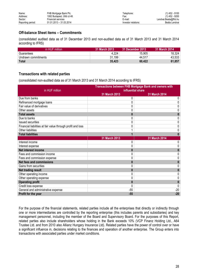| Name:             | FHB Mortgage Bank Plc.      | Telephone:          | $(1)$ 452 - 9100     |
|-------------------|-----------------------------|---------------------|----------------------|
| Address:          | 1082 Budapest, Ullői út 48. | Fax:                | $(1)$ 452 - 9200     |
| Sector:           | Financial services          | E-mail:             | Lendvai.Beata@fhb.hu |
| Reporting period: | 01.01.2013 – 31.03.2014     | Investor relations: | Beáta Lendvai        |

# **Off-balance Sheet items – Commitments**

(consolidated audited data as of 31 December 2013 and non-audited data as of 31 March 2013 and 31 March 2014 according to IFRS)

| in HUF million      | 31 March 2013 | 31 December 2013 | 31 March 2014 |
|---------------------|---------------|------------------|---------------|
| Guarantees          | 4,224         | 15,905           | 18,324        |
| Undrawn commitments | 31,199        | 44,517           | 43,533        |
| <b>Total</b>        | 35.423        | 60,422           | 61,857        |

# **Transactions with related parties**

(consolidated non-audited data as of 31 March 2013 and 31 March 2014 according to IFRS)

| in HUF million                                              | Transactions between FHB Mortgage Bank and owners with<br>influential share |               |  |  |
|-------------------------------------------------------------|-----------------------------------------------------------------------------|---------------|--|--|
|                                                             | 31 March 2013                                                               | 31 March 2014 |  |  |
| Due from banks                                              | 0                                                                           | 0             |  |  |
| Refinanced mortgage loans                                   | 0                                                                           | 0             |  |  |
| Fair value of derivatives                                   | 0                                                                           | 0             |  |  |
| Other assets                                                | 0                                                                           | 0             |  |  |
| <b>Total assets</b>                                         | $\bf{0}$                                                                    |               |  |  |
| Due to banks                                                | 0                                                                           | 0             |  |  |
| <b>Issued securities</b>                                    | 0                                                                           | 0             |  |  |
| Financial liabilities at fair value through profit and loss | 0                                                                           | 0             |  |  |
| Other liabilities                                           |                                                                             | 0             |  |  |
| <b>Total liabilities</b>                                    |                                                                             |               |  |  |
|                                                             | 31 March 2013                                                               | 31 March 2014 |  |  |
| Interest income                                             | 0                                                                           | 0             |  |  |
| Interest expense                                            | 0                                                                           | 0             |  |  |
| Net interest income                                         | $\bf{0}$                                                                    |               |  |  |
| Fees and commission income                                  | 0                                                                           | 0             |  |  |
| Fees and commission expense                                 | 0                                                                           | 0             |  |  |
| <b>Net fees and commissions</b>                             | $\bf{0}$                                                                    |               |  |  |
| Gains from securities                                       | 0                                                                           |               |  |  |
| Net trading result                                          | 0                                                                           |               |  |  |
| Other operating income                                      | 0                                                                           | 0             |  |  |
| Other operating expense                                     | 0                                                                           | 0             |  |  |
| <b>Operating profit</b>                                     | $\bf{0}$                                                                    |               |  |  |
| Credit loss expense                                         | 0                                                                           | 0             |  |  |
| General and administrative expense                          | $-55$                                                                       | $-20$         |  |  |
| Profit for the year                                         | $-55$                                                                       | $-20$         |  |  |

For the purpose of the financial statements, related parties include all the enterprises that directly or indirectly through one or more intermediaries are controlled by the reporting enterprise (this includes parents and subsidiaries) and key management personnel, including the member of the Board and Supervisory Board. For the purposes of this Report, related parties also include shareholders whose holding in the Bank exceeds 10% (VCP Finanz Holding Ltd., A64 Trustee Ltd. and from 2010 also Allianz Hungary Insurance Ltd). Related parties have the power of control over or have a significant influence in, decisions relating to the finances and operation of another enterprise. The Group enters into transactions with associated parties under market conditions.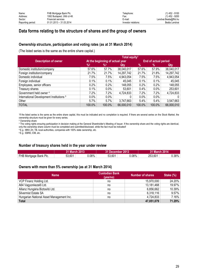# **Data forms relating to the structure of shares and the group of owners**

#### **Ownership structure, participation and voting rates (as at 31 March 2014)**

(The listed series is the same as the entire share capital.)

|                                          | Total equity <sup>1</sup>       |                            |            |                      |         |              |
|------------------------------------------|---------------------------------|----------------------------|------------|----------------------|---------|--------------|
| <b>Description of owner</b>              | At the beginning of actual year |                            |            | End of actual period |         |              |
|                                          | $\frac{9}{2}$                   | $\frac{9}{6}$ <sup>3</sup> | Qty        | $\%$                 | %       | Qty          |
| Domestic institution/company             | 57.6%                           | 57.7%                      | 38,040,017 | 57.6%                | 57.9%   | 38,040,017   |
| Foreign institution/company              | 21.7%                           | 21.7%                      | 14,297,742 | 21.7%                | 21.8%   | 14,297,742   |
| Domestic individual                      | 7.5%                            | 7.5%                       | 4,943,054  | 7.5%                 | 7.5%    | 4,943,054    |
| Foreign individual                       | 0.1%                            | 0.1%                       | 45,045     | 0.1%                 | 0.1%    | 45,045       |
| Employees, senior officers               | 0.2%                            | $0.2\%$                    | 148,055    | 0.2%                 | $0.2\%$ | 148,055      |
| Treasury shares                          | 0.1%                            | $0.0\%$                    | 53,601     | 0.4%                 | $0.0\%$ | 253,601      |
| Government held owner 4                  | 7.2%                            | 7.2%                       | 4,724,833  | 7.2%                 | 7.2%    | 4,724,833    |
| International Development Institutions 5 | 0.0%                            | $0.0\%$                    | 0          | 0.0%                 | 0.0%    | $\mathbf{0}$ |
| Other                                    | 5.7%                            | $5.7\%$                    | 3,747,663  | 5.4%                 | $5.4\%$ | 3,547,663    |
| <b>TOTAL</b>                             | 100.0%                          | 100.0%                     | 66,000,010 | 100.0%               | 100.0%  | 66,000,010   |

1 If the listed series is the same as the entire share capital, this must be indicated and no completion is required. If there are several series on the Stock Market, the ownership structure must be given for every series.

<sup>2</sup> Ownership share

<sup>3</sup> The voting rights ensuring participation in decision making at the General Shareholder's Meeting of Issuer. If the ownership share and the voting rights are identical, only the ownership share column must be completed and submitted/disclosed, while the fact must be indicated!

<sup>4</sup>E.g.: MNV Zrt, TB, local authorities, companies with 100% state ownership, etc.

<sup>5</sup>E.g.: EBRD, EIB, etc.

#### **Number of treasury shares held in the year under review**

|                        | 31 March 2013 |       | 31 December 2013 |        | 31 March 2014 |            |
|------------------------|---------------|-------|------------------|--------|---------------|------------|
| FHB Mortgage Bank Plc. | 53,601        | 0.08% | 53,601           | ∃98%.ر | 253,601       | $0.38\%$ . |

#### **Owners with more than 5% ownership (as at 31 March 2014)**

| <b>Name</b>                              | <b>Custodian Bank</b><br>(yes/no) | <b>Number of shares</b> | Stake (%) |
|------------------------------------------|-----------------------------------|-------------------------|-----------|
| VCP Finanz Holding Ltd.                  | no                                | 15,970,000              | 24.20%    |
| A64 Vagyonkezelő Ltd.                    | no                                | 13,181,468              | 19.97%    |
| Allianz Hungária Biztosító Ltd.          | no                                | 6,856,662               | 10.39%    |
| Silvermist Estate SA                     | no                                | 6,318,116               | 9.57%     |
| Hungarian National Asset Management Inc. | no                                | 4,724,833               | 7.16%     |
| <b>Total</b>                             |                                   | 47,051,079              | 71.29%    |